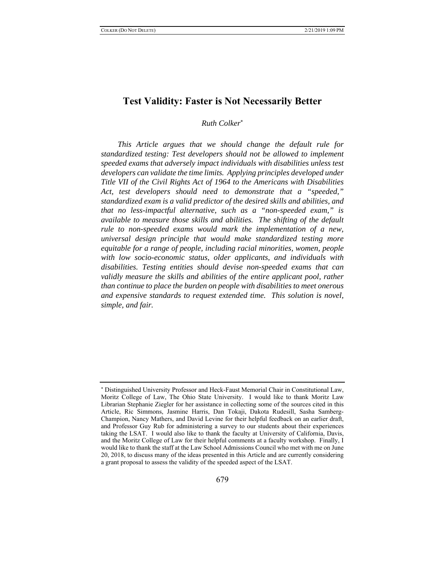# **Test Validity: Faster is Not Necessarily Better**

## *Ruth Colker*

*This Article argues that we should change the default rule for standardized testing: Test developers should not be allowed to implement speeded exams that adversely impact individuals with disabilities unless test developers can validate the time limits. Applying principles developed under Title VII of the Civil Rights Act of 1964 to the Americans with Disabilities Act, test developers should need to demonstrate that a "speeded," standardized exam is a valid predictor of the desired skills and abilities, and that no less-impactful alternative, such as a "non-speeded exam," is available to measure those skills and abilities. The shifting of the default rule to non-speeded exams would mark the implementation of a new, universal design principle that would make standardized testing more equitable for a range of people, including racial minorities, women, people with low socio-economic status, older applicants, and individuals with disabilities. Testing entities should devise non-speeded exams that can validly measure the skills and abilities of the entire applicant pool, rather than continue to place the burden on people with disabilities to meet onerous and expensive standards to request extended time. This solution is novel, simple, and fair.* 

Distinguished University Professor and Heck-Faust Memorial Chair in Constitutional Law, Moritz College of Law, The Ohio State University. I would like to thank Moritz Law Librarian Stephanie Ziegler for her assistance in collecting some of the sources cited in this Article, Ric Simmons, Jasmine Harris, Dan Tokaji, Dakota Rudesill, Sasha Samberg-Champion, Nancy Mathers, and David Levine for their helpful feedback on an earlier draft, and Professor Guy Rub for administering a survey to our students about their experiences taking the LSAT. I would also like to thank the faculty at University of California, Davis, and the Moritz College of Law for their helpful comments at a faculty workshop. Finally, I would like to thank the staff at the Law School Admissions Council who met with me on June 20, 2018, to discuss many of the ideas presented in this Article and are currently considering a grant proposal to assess the validity of the speeded aspect of the LSAT.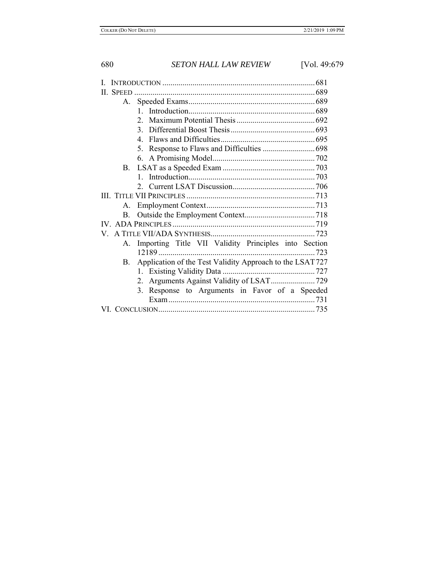| <b>II. SPEED</b>                                                      |
|-----------------------------------------------------------------------|
| A.                                                                    |
|                                                                       |
| $2^{\circ}$                                                           |
| 3.                                                                    |
| 4 <sup>1</sup>                                                        |
| Response to Flaws and Difficulties  698<br>5.                         |
|                                                                       |
|                                                                       |
|                                                                       |
|                                                                       |
|                                                                       |
| А.                                                                    |
| <b>B.</b>                                                             |
|                                                                       |
|                                                                       |
| Importing Title VII Validity Principles into Section<br>A.            |
|                                                                       |
| Application of the Test Validity Approach to the LSAT727<br><b>B.</b> |
|                                                                       |
|                                                                       |
| 3. Response to Arguments in Favor of a Speeded                        |
|                                                                       |
|                                                                       |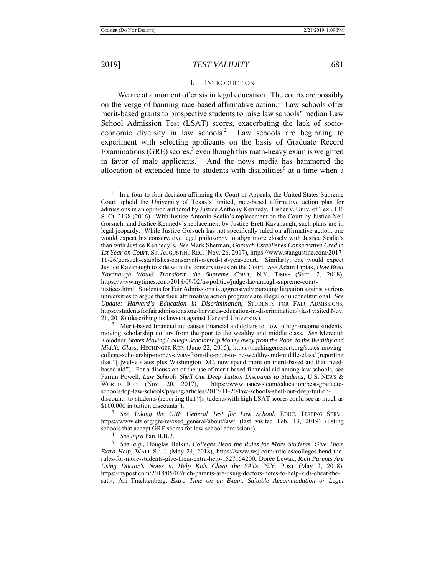### I. INTRODUCTION

We are at a moment of crisis in legal education. The courts are possibly on the verge of banning race-based affirmative action.<sup>1</sup> Law schools offer merit-based grants to prospective students to raise law schools' median Law School Admission Test (LSAT) scores, exacerbating the lack of socioeconomic diversity in law schools.<sup>2</sup> Law schools are beginning to experiment with selecting applicants on the basis of Graduate Record Examinations (GRE) scores, $3$  even though this math-heavy exam is weighted in favor of male applicants.<sup>4</sup> And the news media has hammered the allocation of extended time to students with disabilities<sup>5</sup> at a time when a

3 *See Taking the GRE General Test for Law School*, EDUC. TESTING SERV., https://www.ets.org/gre/revised\_general/about/law/ (last visited Feb. 13, 2019) (listing schools that accept GRE scores for law school admissions).

<sup>4</sup> *See infra* Part II.B.2.<br><sup>5</sup> See e.g. Douglas B

 *See, e.g.*, Douglas Belkin, *Colleges Bend the Rules for More Students, Give Them Extra Help*, WALL ST. J. (May 24, 2018), https://www.wsj.com/articles/colleges-bend-therules-for-more-students-give-them-extra-help-1527154200; Doree Lewak, *Rich Parents Are Using Doctor's Notes to Help Kids Cheat the SATs*, N.Y. POST (May 2, 2018), https://nypost.com/2018/05/02/rich-parents-are-using-doctors-notes-to-help-kids-cheat-thesats/; Ari Trachtenberg, *Extra Time on an Exam: Suitable Accommodation or Legal* 

 $1$  In a four-to-four decision affirming the Court of Appeals, the United States Supreme Court upheld the University of Texas's limited, race-based affirmative action plan for admissions in an opinion authored by Justice Anthony Kennedy. Fisher v. Univ. of Tex., 136 S. Ct. 2198 (2016). With Justice Antonin Scalia's replacement on the Court by Justice Neil Gorsuch, and Justice Kennedy's replacement by Justice Brett Kavanaugh, such plans are in legal jeopardy. While Justice Gorsuch has not specifically ruled on affirmative action, one would expect his conservative legal philosophy to align more closely with Justice Scalia's than with Justice Kennedy's. *See* Mark Sherman, *Gorsuch Establishes Conservative Cred in 1st Year on Court*, ST. AUGUSTINE REC. (Nov. 26, 2017), https://www.staugustine.com/2017- 11-26/gorsuch-establishes-conservative-cred-1st-year-court. Similarly, one would expect Justice Kavanaugh to side with the conservatives on the Court. *See* Adam Liptak, *How Brett Kavanaugh Would Transform the Supreme Court*, N.Y. TIMES (Sept. 2, 2018), https://www.nytimes.com/2018/09/02/us/politics/judge-kavanaugh-supreme-courtjustices.html. Students for Fair Admissions is aggressively pursuing litigation against various

universities to argue that their affirmative action programs are illegal or unconstitutional. *See Update: Harvard's Education in Discrimination*, STUDENTS FOR FAIR ADMISSIONS, https://studentsforfairadmissions.org/harvards-education-in-discrimination/ (last visited Nov. 21, 2018) (describing its lawsuit against Harvard University). 2

<sup>&</sup>lt;sup>2</sup> Merit-based financial aid causes financial aid dollars to flow to high-income students, moving scholarship dollars from the poor to the wealthy and middle class. *See* Meredith Kolodner, *States Moving College Scholarship Money away from the Poor, to the Wealthy and Middle Class*, HECHINGER REP. (June 22, 2015), https://hechingerreport.org/states-movingcollege-scholarship-money-away-from-the-poor-to-the-wealthy-and-middle-class/ (reporting that "[t]welve states plus Washington D.C. now spend more on merit-based aid than needbased aid"). For a discussion of the use of merit-based financial aid among law schools, see Farran Powell, *Law Schools Shell Out Deep Tuition Discounts to Students*, U.S. NEWS & WORLD REP. (Nov. 20, 2017), https://www.usnews.com/education/best-graduateschools/top-law-schools/paying/articles/2017-11-20/law-schools-shell-out-deep-tuitiondiscounts-to-students (reporting that "[s]tudents with high LSAT scores could see as much as \$100,000 in tuition discounts").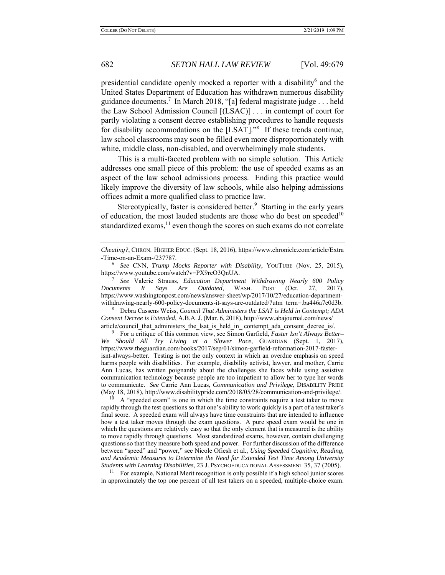presidential candidate openly mocked a reporter with a disability<sup>6</sup> and the United States Department of Education has withdrawn numerous disability guidance documents.<sup>7</sup> In March 2018, "[a] federal magistrate judge . . . held the Law School Admission Council [(LSAC)] . . . in contempt of court for partly violating a consent decree establishing procedures to handle requests for disability accommodations on the [LSAT]."<sup>8</sup> If these trends continue, law school classrooms may soon be filled even more disproportionately with white, middle class, non-disabled, and overwhelmingly male students.

This is a multi-faceted problem with no simple solution. This Article addresses one small piece of this problem: the use of speeded exams as an aspect of the law school admissions process. Ending this practice would likely improve the diversity of law schools, while also helping admissions offices admit a more qualified class to practice law.

Stereotypically, faster is considered better.<sup>9</sup> Starting in the early years of education, the most lauded students are those who do best on speeded<sup>10</sup> standardized exams, $<sup>11</sup>$  even though the scores on such exams do not correlate</sup>

 *See* Valerie Strauss, *Education Department Withdrawing Nearly 600 Policy Documents It Says Are Outdated*, WASH. POST (Oct. 27, 2017), https://www.washingtonpost.com/news/answer-sheet/wp/2017/10/27/education-departmentwithdrawing-nearly-600-policy-documents-it-says-are-outdated/?utm\_term=.ba446a7e0d3b.

8 Debra Cassens Weiss, *Council That Administers the LSAT is Held in Contempt; ADA Consent Decree is Extended*, A.B.A. J. (Mar. 6, 2018), http://www.abajournal.com/news/ article/council\_that\_administers\_the\_lsat\_is\_held\_in\_ contempt\_ada\_consent\_decree\_is/.

9 For a critique of this common view, see Simon Garfield, *Faster Isn't Always Better– We Should All Try Living at a Slower Pace*, GUARDIAN (Sept. 1, 2017), https://www.theguardian.com/books/2017/sep/01/simon-garfield-reformation-2017-fasterisnt-always-better. Testing is not the only context in which an overdue emphasis on speed harms people with disabilities. For example, disability activist, lawyer, and mother, Carrie Ann Lucas, has written poignantly about the challenges she faces while using assistive communication technology because people are too impatient to allow her to type her words to communicate. *See* Carrie Ann Lucas, *Communication and Privilege*, DISABILITY PRIDE (May 18, 2018), http://www.disabilitypride.com/2018/05/28/communication-and-privilege/.

10 A "speeded exam" is one in which the time constraints require a test taker to move rapidly through the test questions so that one's ability to work quickly is a part of a test taker's final score. A speeded exam will always have time constraints that are intended to influence how a test taker moves through the exam questions. A pure speed exam would be one in which the questions are relatively easy so that the only element that is measured is the ability to move rapidly through questions. Most standardized exams, however, contain challenging questions so that they measure both speed and power. For further discussion of the difference between "speed" and "power," see Nicole Ofiesh et al., *Using Speeded Cognitive, Reading, and Academic Measures to Determine the Need for Extended Test Time Among University Students with Learning Disabilities*, 23 J. PSYCHOEDUCATIONAL ASSESSMENT 35, 37 (2005).

<sup>11</sup> For example, National Merit recognition is only possible if a high school junior scores in approximately the top one percent of all test takers on a speeded, multiple-choice exam.

*Cheating?*, CHRON. HIGHER EDUC. (Sept. 18, 2016), https://www.chronicle.com/article/Extra -Time-on-an-Exam-/237787.

<sup>6</sup> *See* CNN, *Trump Mocks Reporter with Disability*, YOUTUBE (Nov. 25, 2015), https://www.youtube.com/watch?v=PX9reO3QnUA. 7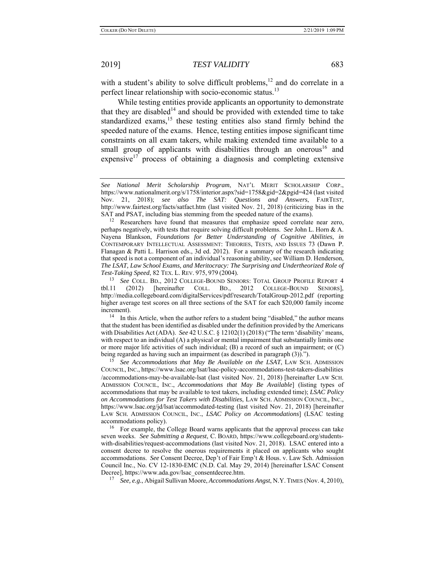with a student's ability to solve difficult problems,<sup>12</sup> and do correlate in a perfect linear relationship with socio-economic status.<sup>13</sup>

While testing entities provide applicants an opportunity to demonstrate that they are disabled<sup>14</sup> and should be provided with extended time to take standardized exams,  $15$  these testing entities also stand firmly behind the speeded nature of the exams. Hence, testing entities impose significant time constraints on all exam takers, while making extended time available to a small group of applicants with disabilities through an onerous<sup>16</sup> and expensive<sup>17</sup> process of obtaining a diagnosis and completing extensive

that the student has been identified as disabled under the definition provided by the Americans with Disabilities Act (ADA). *See* 42 U.S.C. § 12102(1) (2018) ("The term 'disability' means, with respect to an individual (A) a physical or mental impairment that substantially limits one or more major life activities of such individual; (B) a record of such an impairment; or (C) being regarded as having such an impairment (as described in paragraph (3)).").

15 *See Accommodations that May Be Available on the LSAT*, LAW SCH. ADMISSION COUNCIL, INC., https://www.lsac.org/lsat/lsac-policy-accommodations-test-takers-disabilities /accommodations-may-be-available-lsat (last visited Nov. 21, 2018) [hereinafter LAW SCH. ADMISSION COUNCIL, INC., *Accommodations that May Be Available*] (listing types of accommodations that may be available to test takers, including extended time); *LSAC Policy on Accommodations for Test Takers with Disabilities*, LAW SCH. ADMISSION COUNCIL, INC., https://www.lsac.org/jd/lsat/accommodated-testing (last visited Nov. 21, 2018) [hereinafter LAW SCH. ADMISSION COUNCIL, INC., *LSAC Policy on Accommodations*] (LSAC testing accommodations policy).

<sup>16</sup> For example, the College Board warns applicants that the approval process can take seven weeks. *See Submitting a Request*, C. BOARD, https://www.collegeboard.org/studentswith-disabilities/request-accommodations (last visited Nov. 21, 2018). LSAC entered into a consent decree to resolve the onerous requirements it placed on applicants who sought accommodations. *See* Consent Decree, Dep't of Fair Emp't & Hous. v. Law Sch. Admission Council Inc., No. CV 12-1830-EMC (N.D. Cal. May 29, 2014) [hereinafter LSAC Consent Decree], https://www.ada.gov/lsac\_consentdecree.htm.

17 *See, e.g.*, Abigail Sullivan Moore, *Accommodations Angst*, N.Y. TIMES (Nov. 4, 2010),

*See National Merit Scholarship Program*, NAT'L MERIT SCHOLARSHIP CORP., https://www.nationalmerit.org/s/1758/interior.aspx?sid=1758&gid=2&pgid=424 (last visited Nov. 21, 2018); *see also The SAT: Questions and Answers*, FAIRTEST, http://www.fairtest.org/facts/satfact.htm (last visited Nov. 21, 2018) (criticizing bias in the SAT and PSAT, including bias stemming from the speeded nature of the exams). 12 Researchers have found that measures that emphasize speed correlate near zero,

perhaps negatively, with tests that require solving difficult problems. *See* John L. Horn & A. Nayena Blankson, *Foundations for Better Understanding of Cognitive Abilities*, *in* CONTEMPORARY INTELLECTUAL ASSESSMENT: THEORIES, TESTS, AND ISSUES 73 (Dawn P. Flanagan & Patti L. Harrison eds., 3d ed. 2012). For a summary of the research indicating that speed is not a component of an individual's reasoning ability, see William D. Henderson, *The LSAT, Law School Exams, and Meritocracy: The Surprising and Undertheorized Role of Test-Taking Speed*, 82 TEX. L. REV. 975, 979 (2004).

<sup>13</sup> *See* COLL. BD., 2012 COLLEGE-BOUND SENIORS: TOTAL GROUP PROFILE REPORT 4 tbl.11 (2012) [hereinafter COLL. BD., 2012 COLLEGE-BOUND SENIORS], http://media.collegeboard.com/digitalServices/pdf/research/TotalGroup-2012.pdf (reporting higher average test scores on all three sections of the SAT for each \$20,000 family income increment).<br><sup>14</sup> In this Article, when the author refers to a student being "disabled," the author means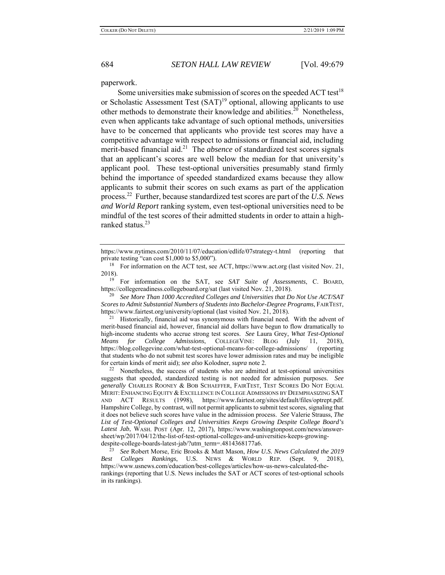paperwork.

Some universities make submission of scores on the speeded  $ACT test<sup>18</sup>$ or Scholastic Assessment Test  $(SAT)^{19}$  optional, allowing applicants to use other methods to demonstrate their knowledge and abilities.<sup>20</sup> Nonetheless, even when applicants take advantage of such optional methods, universities have to be concerned that applicants who provide test scores may have a competitive advantage with respect to admissions or financial aid, including merit-based financial aid.<sup>21</sup> The *absence* of standardized test scores signals that an applicant's scores are well below the median for that university's applicant pool. These test-optional universities presumably stand firmly behind the importance of speeded standardized exams because they allow applicants to submit their scores on such exams as part of the application process.22 Further, because standardized test scores are part of the *U.S. News and World Report* ranking system, even test-optional universities need to be mindful of the test scores of their admitted students in order to attain a highranked status.<sup>23</sup>

20 *See More Than 1000 Accredited Colleges and Universities that Do Not Use ACT/SAT Scores to Admit Substantial Numbers of Students into Bachelor-Degree Programs*, FAIRTEST, https://www.fairtest.org/university/optional (last visited Nov. 21, 2018).<br><sup>21</sup> Historically, financial aid was synonymous with financial need. With the advent of

merit-based financial aid, however, financial aid dollars have begun to flow dramatically to high-income students who accrue strong test scores. *See* Laura Grey, *What Test-Optional Means for College Admissions*, COLLEGEVINE: BLOG (July 11, 2018), https://blog.collegevine.com/what-test-optional-means-for-college-admissions/ (reporting that students who do not submit test scores have lower admission rates and may be ineligible

for certain kinds of merit aid); *see also* Kolodner, *supra* note 2.<br><sup>22</sup> Nonetheless, the success of students who are admitted at test-optional universities suggests that speeded, standardized testing is not needed for admission purposes. *See generally* CHARLES ROONEY & BOB SCHAEFFER, FAIRTEST, TEST SCORES DO NOT EQUAL MERIT: ENHANCING EQUITY & EXCELLENCE IN COLLEGE ADMISSIONS BY DEEMPHASIZING SAT AND ACT RESULTS (1998), https://www.fairtest.org/sites/default/files/optrept.pdf. Hampshire College, by contrast, will not permit applicants to submit test scores, signaling that it does not believe such scores have value in the admission process. *See* Valerie Strauss, *The List of Test-Optional Colleges and Universities Keeps Growing Despite College Board's Latest Jab*, WASH. POST (Apr. 12, 2017), https://www.washingtonpost.com/news/answersheet/wp/2017/04/12/the-list-of-test-optional-colleges-and-universities-keeps-growingdespite-college-boards-latest-jab/?utm\_term=.4814368177a6.

23 *See* Robert Morse, Eric Brooks & Matt Mason, *How U.S. News Calculated the 2019 Best Colleges Rankings*, U.S. NEWS & WORLD REP. (Sept. 9, 2018), https://www.usnews.com/education/best-colleges/articles/how-us-news-calculated-therankings (reporting that U.S. News includes the SAT or ACT scores of test-optional schools in its rankings).

https://www.nytimes.com/2010/11/07/education/edlife/07strategy-t.html (reporting that private testing "can cost \$1,000 to \$5,000").

<sup>&</sup>lt;sup>18</sup> For information on the ACT test, see ACT, https://www.act.org (last visited Nov. 21,  $2018$ ).

<sup>19</sup> For information on the SAT, see *SAT Suite of Assessments*, C. BOARD, https://collegereadiness.collegeboard.org/sat (last visited Nov. 21, 2018).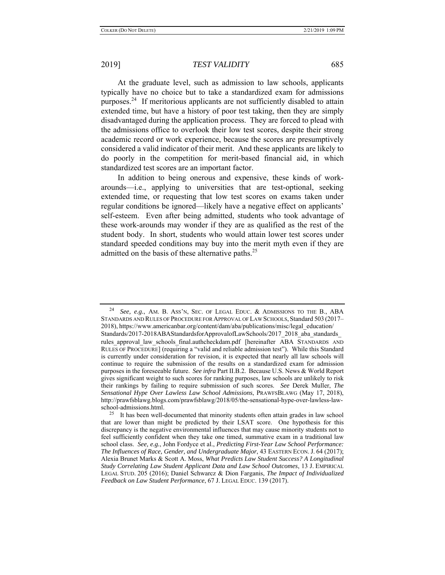At the graduate level, such as admission to law schools, applicants typically have no choice but to take a standardized exam for admissions purposes.<sup>24</sup> If meritorious applicants are not sufficiently disabled to attain extended time, but have a history of poor test taking, then they are simply disadvantaged during the application process. They are forced to plead with the admissions office to overlook their low test scores, despite their strong academic record or work experience, because the scores are presumptively considered a valid indicator of their merit. And these applicants are likely to do poorly in the competition for merit-based financial aid, in which standardized test scores are an important factor.

In addition to being onerous and expensive, these kinds of workarounds—i.e., applying to universities that are test-optional, seeking extended time, or requesting that low test scores on exams taken under regular conditions be ignored—likely have a negative effect on applicants' self-esteem. Even after being admitted, students who took advantage of these work-arounds may wonder if they are as qualified as the rest of the student body. In short, students who would attain lower test scores under standard speeded conditions may buy into the merit myth even if they are admitted on the basis of these alternative paths. $25$ 

See, e.g., AM. B. Ass'N, SEC. OF LEGAL EDUC. & ADMISSIONS TO THE B., ABA STANDARDS AND RULES OF PROCEDURE FOR APPROVAL OF LAW SCHOOLS, Standard 503 (2017– 2018), https://www.americanbar.org/content/dam/aba/publications/misc/legal\_education/ Standards/2017-2018ABAStandardsforApprovalofLawSchools/2017\_2018\_aba\_standards\_ rules approval law schools final.authcheckdam.pdf [hereinafter ABA STANDARDS AND RULES OF PROCEDURE] (requiring a "valid and reliable admission test"). While this Standard is currently under consideration for revision, it is expected that nearly all law schools will continue to require the submission of the results on a standardized exam for admission purposes in the foreseeable future. *See infra* Part II.B.2. Because U.S. News & World Report gives significant weight to such scores for ranking purposes, law schools are unlikely to risk their rankings by failing to require submission of such scores. *See* Derek Muller, *The Sensational Hype Over Lawless Law School Admissions*, PRAWFSBLAWG (May 17, 2018), http://prawfsblawg.blogs.com/prawfsblawg/2018/05/the-sensational-hype-over-lawless-lawschool-admissions.html.

<sup>&</sup>lt;sup>25</sup> It has been well-documented that minority students often attain grades in law school that are lower than might be predicted by their LSAT score. One hypothesis for this discrepancy is the negative environmental influences that may cause minority students not to feel sufficiently confident when they take one timed, summative exam in a traditional law school class. *See, e.g.*, John Fordyce et al., *Predicting First-Year Law School Performance: The Influences of Race, Gender, and Undergraduate Major*, 43 EASTERN ECON. J. 64 (2017); Alexia Brunet Marks & Scott A. Moss, *What Predicts Law Student Success? A Longitudinal Study Correlating Law Student Applicant Data and Law School Outcomes*, 13 J. EMPIRICAL LEGAL STUD. 205 (2016); Daniel Schwarcz & Dion Farganis, *The Impact of Individualized Feedback on Law Student Performance*, 67 J. LEGAL EDUC. 139 (2017).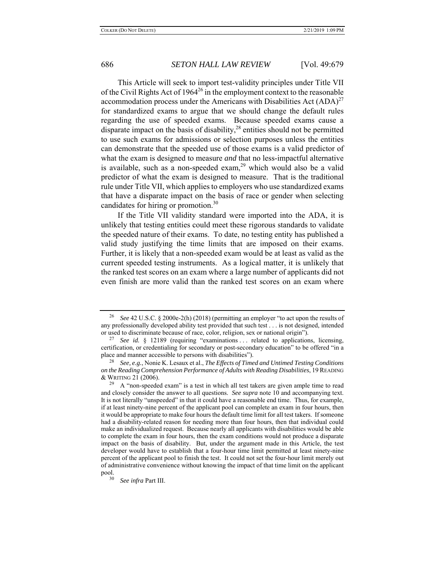This Article will seek to import test-validity principles under Title VII of the Civil Rights Act of 1964<sup>26</sup> in the employment context to the reasonable accommodation process under the Americans with Disabilities Act  $(ADA)^{27}$ for standardized exams to argue that we should change the default rules regarding the use of speeded exams. Because speeded exams cause a disparate impact on the basis of disability, $2<sup>8</sup>$  entities should not be permitted to use such exams for admissions or selection purposes unless the entities can demonstrate that the speeded use of those exams is a valid predictor of what the exam is designed to measure *and* that no less-impactful alternative is available, such as a non-speeded exam,<sup>29</sup> which would also be a valid predictor of what the exam is designed to measure. That is the traditional rule under Title VII, which applies to employers who use standardized exams that have a disparate impact on the basis of race or gender when selecting candidates for hiring or promotion.<sup>30</sup>

If the Title VII validity standard were imported into the ADA, it is unlikely that testing entities could meet these rigorous standards to validate the speeded nature of their exams. To date, no testing entity has published a valid study justifying the time limits that are imposed on their exams. Further, it is likely that a non-speeded exam would be at least as valid as the current speeded testing instruments. As a logical matter, it is unlikely that the ranked test scores on an exam where a large number of applicants did not even finish are more valid than the ranked test scores on an exam where

<sup>26</sup> *See* 42 U.S.C. § 2000e-2(h) (2018) (permitting an employer "to act upon the results of any professionally developed ability test provided that such test . . . is not designed, intended or used to discriminate because of race, color, religion, sex or national origin").

<sup>&</sup>lt;sup>27</sup> *See id.* § 12189 (requiring "examinations ... related to applications, licensing, certification, or credentialing for secondary or post-secondary education" to be offered "in a place and manner accessible to persons with disabilities").

<sup>28</sup> *See, e.g.*, Nonie K. Lesaux et al., *The Effects of Timed and Untimed Testing Conditions on the Reading Comprehension Performance of Adults with Reading Disabilities*, 19 READING & WRITING 21 (2006).

 $29$  A "non-speeded exam" is a test in which all test takers are given ample time to read and closely consider the answer to all questions. *See supra* note 10 and accompanying text. It is not literally "unspeeded" in that it could have a reasonable end time. Thus, for example, if at least ninety-nine percent of the applicant pool can complete an exam in four hours, then it would be appropriate to make four hours the default time limit for all test takers. If someone had a disability-related reason for needing more than four hours, then that individual could make an individualized request. Because nearly all applicants with disabilities would be able to complete the exam in four hours, then the exam conditions would not produce a disparate impact on the basis of disability. But, under the argument made in this Article, the test developer would have to establish that a four-hour time limit permitted at least ninety-nine percent of the applicant pool to finish the test. It could not set the four-hour limit merely out of administrative convenience without knowing the impact of that time limit on the applicant pool.<br>30

<sup>30</sup> *See infra* Part III.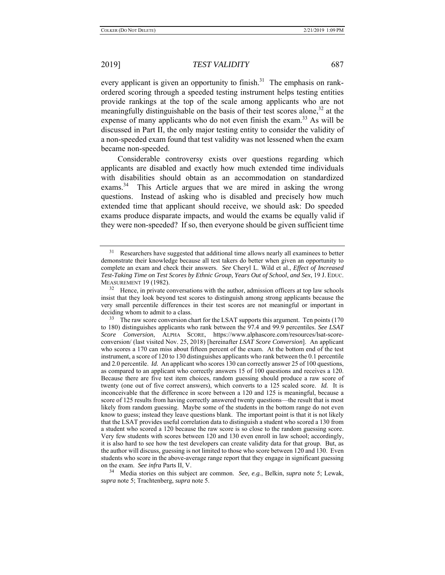every applicant is given an opportunity to finish.<sup>31</sup> The emphasis on rankordered scoring through a speeded testing instrument helps testing entities provide rankings at the top of the scale among applicants who are not meaningfully distinguishable on the basis of their test scores alone,  $32$  at the expense of many applicants who do not even finish the exam.<sup>33</sup> As will be discussed in Part II, the only major testing entity to consider the validity of a non-speeded exam found that test validity was not lessened when the exam became non-speeded.

Considerable controversy exists over questions regarding which applicants are disabled and exactly how much extended time individuals with disabilities should obtain as an accommodation on standardized exams.<sup>34</sup> This Article argues that we are mired in asking the wrong questions. Instead of asking who is disabled and precisely how much extended time that applicant should receive, we should ask: Do speeded exams produce disparate impacts, and would the exams be equally valid if they were non-speeded? If so, then everyone should be given sufficient time

34 Media stories on this subject are common. *See, e.g.*, Belkin, *supra* note 5; Lewak, *supra* note 5; Trachtenberg, *supra* note 5.

 $31$  Researchers have suggested that additional time allows nearly all examinees to better demonstrate their knowledge because all test takers do better when given an opportunity to complete an exam and check their answers. *See* Cheryl L. Wild et al., *Effect of Increased Test-Taking Time on Test Scores by Ethnic Group, Years Out of School, and Sex*, 19 J. EDUC. MEASUREMENT 19 (1982).

 $32$  Hence, in private conversations with the author, admission officers at top law schools insist that they look beyond test scores to distinguish among strong applicants because the very small percentile differences in their test scores are not meaningful or important in deciding whom to admit to a class.

<sup>&</sup>lt;sup>33</sup> The raw score conversion chart for the LSAT supports this argument. Ten points (170 to 180) distinguishes applicants who rank between the 97.4 and 99.9 percentiles. *See LSAT Score Conversion*, ALPHA SCORE, https://www.alphascore.com/resources/lsat-scoreconversion/ (last visited Nov. 25, 2018) [hereinafter *LSAT Score Conversion*]. An applicant who scores a 170 can miss about fifteen percent of the exam. At the bottom end of the test instrument, a score of 120 to 130 distinguishes applicants who rank between the 0.1 percentile and 2.0 percentile. *Id.* An applicant who scores 130 can correctly answer 25 of 100 questions, as compared to an applicant who correctly answers 15 of 100 questions and receives a 120. Because there are five test item choices, random guessing should produce a raw score of twenty (one out of five correct answers), which converts to a 125 scaled score. *Id.* It is inconceivable that the difference in score between a 120 and 125 is meaningful, because a score of 125 results from having correctly answered twenty questions—the result that is most likely from random guessing. Maybe some of the students in the bottom range do not even know to guess; instead they leave questions blank. The important point is that it is not likely that the LSAT provides useful correlation data to distinguish a student who scored a 130 from a student who scored a 120 because the raw score is so close to the random guessing score. Very few students with scores between 120 and 130 even enroll in law school; accordingly, it is also hard to see how the test developers can create validity data for that group. But, as the author will discuss, guessing is not limited to those who score between 120 and 130. Even students who score in the above-average range report that they engage in significant guessing on the exam. *See infra* Parts II, V.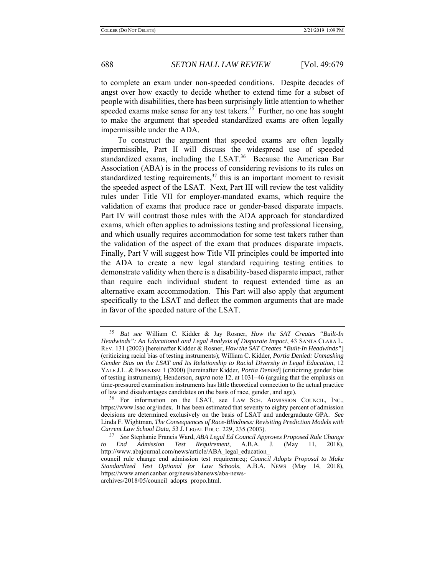to complete an exam under non-speeded conditions. Despite decades of angst over how exactly to decide whether to extend time for a subset of people with disabilities, there has been surprisingly little attention to whether speeded exams make sense for any test takers.<sup>35</sup> Further, no one has sought to make the argument that speeded standardized exams are often legally impermissible under the ADA.

To construct the argument that speeded exams are often legally impermissible, Part II will discuss the widespread use of speeded standardized exams, including the LSAT. $36$  Because the American Bar Association (ABA) is in the process of considering revisions to its rules on standardized testing requirements,  $37$  this is an important moment to revisit the speeded aspect of the LSAT. Next, Part III will review the test validity rules under Title VII for employer-mandated exams, which require the validation of exams that produce race or gender-based disparate impacts. Part IV will contrast those rules with the ADA approach for standardized exams, which often applies to admissions testing and professional licensing, and which usually requires accommodation for some test takers rather than the validation of the aspect of the exam that produces disparate impacts. Finally, Part V will suggest how Title VII principles could be imported into the ADA to create a new legal standard requiring testing entities to demonstrate validity when there is a disability-based disparate impact, rather than require each individual student to request extended time as an alternative exam accommodation. This Part will also apply that argument specifically to the LSAT and deflect the common arguments that are made in favor of the speeded nature of the LSAT.

<sup>35</sup> *But see* William C. Kidder & Jay Rosner, *How the SAT Creates "Built-In Headwinds": An Educational and Legal Analysis of Disparate Impact*, 43 SANTA CLARA L. REV. 131 (2002) [hereinafter Kidder & Rosner, *How the SAT Creates "Built-In Headwinds"*] (criticizing racial bias of testing instruments); William C. Kidder, *Portia Denied: Unmasking Gender Bias on the LSAT and Its Relationship to Racial Diversity in Legal Education*, 12 YALE J.L. & FEMINISM 1 (2000) [hereinafter Kidder, *Portia Denied*] (criticizing gender bias of testing instruments); Henderson, *supra* note 12, at 1031–46 (arguing that the emphasis on time-pressured examination instruments has little theoretical connection to the actual practice of law and disadvantages candidates on the basis of race, gender, and age).

<sup>&</sup>lt;sup>36</sup> For information on the LSAT, see LAW SCH. ADMISSION COUNCIL, INC., https://www.lsac.org/index. It has been estimated that seventy to eighty percent of admission decisions are determined exclusively on the basis of LSAT and undergraduate GPA. *See*  Linda F. Wightman, *The Consequences of Race-Blindness: Revisiting Prediction Models with Current Law School Data*, 53 J. LEGAL EDUC. 229, 235 (2003).

<sup>37</sup> *See* Stephanie Francis Ward, *ABA Legal Ed Council Approves Proposed Rule Change to End Admission Test Requirement*, A.B.A. J. (May 11, 2018), http://www.abajournal.com/news/article/ABA\_legal\_education\_ council\_rule\_change\_end\_admission\_test\_requiremreq; *Council Adopts Proposal to Make Standardized Test Optional for Law Schools*, A.B.A. NEWS (May 14, 2018), https://www.americanbar.org/news/abanews/aba-newsarchives/2018/05/council\_adopts\_propo.html.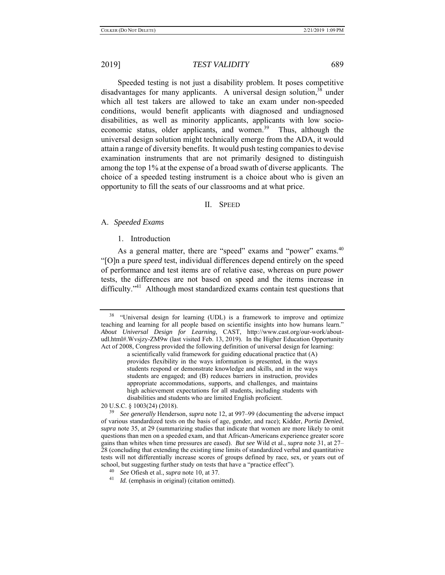Speeded testing is not just a disability problem. It poses competitive disadvantages for many applicants. A universal design solution, 38 under which all test takers are allowed to take an exam under non-speeded conditions, would benefit applicants with diagnosed and undiagnosed disabilities, as well as minority applicants, applicants with low socioeconomic status, older applicants, and women.<sup>39</sup> Thus, although the universal design solution might technically emerge from the ADA, it would attain a range of diversity benefits. It would push testing companies to devise examination instruments that are not primarily designed to distinguish among the top 1% at the expense of a broad swath of diverse applicants. The choice of a speeded testing instrument is a choice about who is given an opportunity to fill the seats of our classrooms and at what price.

### II. SPEED

### A. *Speeded Exams*

### 1. Introduction

As a general matter, there are "speed" exams and "power" exams.<sup>40</sup> "[O]n a pure *speed* test, individual differences depend entirely on the speed of performance and test items are of relative ease, whereas on pure *power* tests, the differences are not based on speed and the items increase in difficulty."<sup>41</sup> Although most standardized exams contain test questions that

20 U.S.C. § 1003(24) (2018).

<sup>&</sup>lt;sup>38</sup> "Universal design for learning (UDL) is a framework to improve and optimize teaching and learning for all people based on scientific insights into how humans learn." *About Universal Design for Learning*, CAST, http://www.cast.org/our-work/aboutudl.html#.Wvsjzy-ZM9w (last visited Feb. 13, 2019). In the Higher Education Opportunity Act of 2008, Congress provided the following definition of universal design for learning:

a scientifically valid framework for guiding educational practice that (A) provides flexibility in the ways information is presented, in the ways students respond or demonstrate knowledge and skills, and in the ways students are engaged; and (B) reduces barriers in instruction, provides appropriate accommodations, supports, and challenges, and maintains high achievement expectations for all students, including students with disabilities and students who are limited English proficient.

<sup>39</sup> *See generally* Henderson, *supra* note 12, at 997–99 (documenting the adverse impact of various standardized tests on the basis of age, gender, and race); Kidder, *Portia Denied*, *supra* note 35, at 29 (summarizing studies that indicate that women are more likely to omit questions than men on a speeded exam, and that African-Americans experience greater score gains than whites when time pressures are eased). *But see* Wild et al., *supra* note 31, at 27– 28 (concluding that extending the existing time limits of standardized verbal and quantitative tests will not differentially increase scores of groups defined by race, sex, or years out of school, but suggesting further study on tests that have a "practice effect").

<sup>40</sup>*See* Ofiesh et al., *supra* note 10, at 37. 41 *Id.* (emphasis in original) (citation omitted).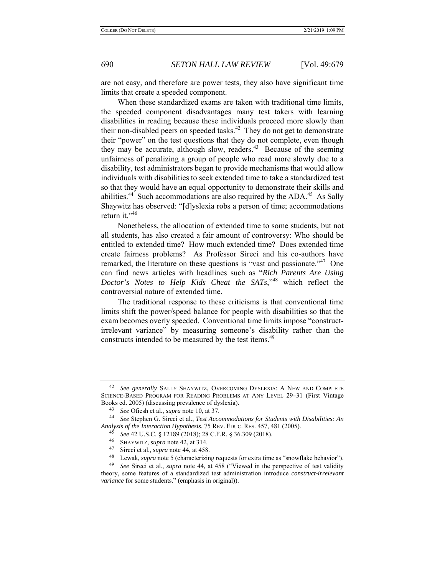are not easy, and therefore are power tests, they also have significant time limits that create a speeded component.

When these standardized exams are taken with traditional time limits, the speeded component disadvantages many test takers with learning disabilities in reading because these individuals proceed more slowly than their non-disabled peers on speeded tasks. $42$  They do not get to demonstrate their "power" on the test questions that they do not complete, even though they may be accurate, although slow, readers.<sup>43</sup> Because of the seeming unfairness of penalizing a group of people who read more slowly due to a disability, test administrators began to provide mechanisms that would allow individuals with disabilities to seek extended time to take a standardized test so that they would have an equal opportunity to demonstrate their skills and abilities.<sup>44</sup> Such accommodations are also required by the  $ADA<sup>45</sup>$  As Sally Shaywitz has observed: "[d]yslexia robs a person of time; accommodations return it."<sup>46</sup>

Nonetheless, the allocation of extended time to some students, but not all students, has also created a fair amount of controversy: Who should be entitled to extended time? How much extended time? Does extended time create fairness problems? As Professor Sireci and his co-authors have remarked, the literature on these questions is "vast and passionate."<sup>47</sup> One can find news articles with headlines such as "*Rich Parents Are Using Doctor's Notes to Help Kids Cheat the SATs*,"48 which reflect the controversial nature of extended time.

The traditional response to these criticisms is that conventional time limits shift the power/speed balance for people with disabilities so that the exam becomes overly speeded. Conventional time limits impose "constructirrelevant variance" by measuring someone's disability rather than the constructs intended to be measured by the test items.<sup>49</sup>

<sup>42</sup> *See generally* SALLY SHAYWITZ, OVERCOMING DYSLEXIA: A NEW AND COMPLETE SCIENCE-BASED PROGRAM FOR READING PROBLEMS AT ANY LEVEL 29–31 (First Vintage Books ed. 2005) (discussing prevalence of dyslexia).

<sup>43</sup>*See* Ofiesh et al., *supra* note 10, at 37. 44 *See* Stephen G. Sireci et al., *Test Accommodations for Students with Disabilities: An Analysis of the Interaction Hypothesis*, 75 REV. EDUC. RES. 457, 481 (2005).

<sup>45</sup> *See* 42 U.S.C. § 12189 (2018); 28 C.F.R. § 36.309 (2018).

<sup>&</sup>lt;sup>46</sup> SHAYWITZ, *supra* note 42, at 314.

Sireci et al., *supra* note 44, at 458.

<sup>48</sup> Lewak, *supra* note 5 (characterizing requests for extra time as "snowflake behavior").

<sup>49</sup> *See* Sireci et al., *supra* note 44, at 458 ("Viewed in the perspective of test validity theory, some features of a standardized test administration introduce *construct-irrelevant variance* for some students." (emphasis in original)).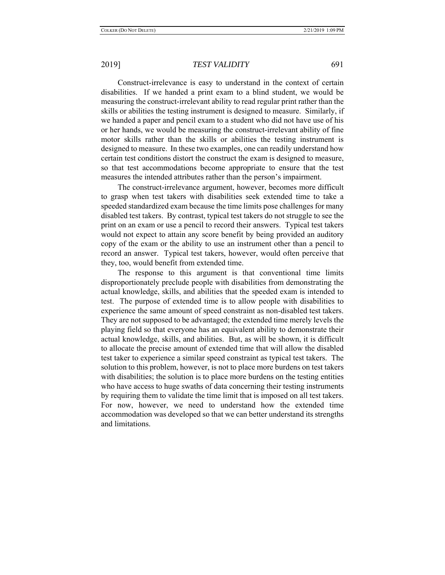Construct-irrelevance is easy to understand in the context of certain disabilities. If we handed a print exam to a blind student, we would be measuring the construct-irrelevant ability to read regular print rather than the skills or abilities the testing instrument is designed to measure. Similarly, if we handed a paper and pencil exam to a student who did not have use of his or her hands, we would be measuring the construct-irrelevant ability of fine motor skills rather than the skills or abilities the testing instrument is designed to measure. In these two examples, one can readily understand how certain test conditions distort the construct the exam is designed to measure, so that test accommodations become appropriate to ensure that the test measures the intended attributes rather than the person's impairment.

The construct-irrelevance argument, however, becomes more difficult to grasp when test takers with disabilities seek extended time to take a speeded standardized exam because the time limits pose challenges for many disabled test takers. By contrast, typical test takers do not struggle to see the print on an exam or use a pencil to record their answers. Typical test takers would not expect to attain any score benefit by being provided an auditory copy of the exam or the ability to use an instrument other than a pencil to record an answer. Typical test takers, however, would often perceive that they, too, would benefit from extended time.

The response to this argument is that conventional time limits disproportionately preclude people with disabilities from demonstrating the actual knowledge, skills, and abilities that the speeded exam is intended to test. The purpose of extended time is to allow people with disabilities to experience the same amount of speed constraint as non-disabled test takers. They are not supposed to be advantaged; the extended time merely levels the playing field so that everyone has an equivalent ability to demonstrate their actual knowledge, skills, and abilities. But, as will be shown, it is difficult to allocate the precise amount of extended time that will allow the disabled test taker to experience a similar speed constraint as typical test takers. The solution to this problem, however, is not to place more burdens on test takers with disabilities; the solution is to place more burdens on the testing entities who have access to huge swaths of data concerning their testing instruments by requiring them to validate the time limit that is imposed on all test takers. For now, however, we need to understand how the extended time accommodation was developed so that we can better understand its strengths and limitations.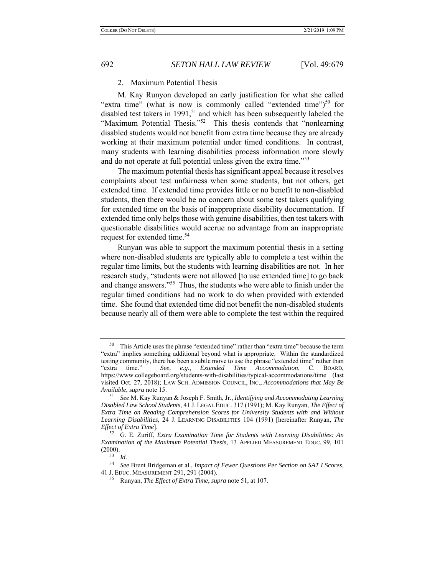## 2. Maximum Potential Thesis

M. Kay Runyon developed an early justification for what she called "extra time" (what is now is commonly called "extended time") $50$  for disabled test takers in 1991,<sup>51</sup> and which has been subsequently labeled the "Maximum Potential Thesis."<sup>52</sup> This thesis contends that "nonlearning" disabled students would not benefit from extra time because they are already working at their maximum potential under timed conditions. In contrast, many students with learning disabilities process information more slowly and do not operate at full potential unless given the extra time.<sup>553</sup>

The maximum potential thesis has significant appeal because it resolves complaints about test unfairness when some students, but not others, get extended time. If extended time provides little or no benefit to non-disabled students, then there would be no concern about some test takers qualifying for extended time on the basis of inappropriate disability documentation. If extended time only helps those with genuine disabilities, then test takers with questionable disabilities would accrue no advantage from an inappropriate request for extended time.<sup>54</sup>

Runyan was able to support the maximum potential thesis in a setting where non-disabled students are typically able to complete a test within the regular time limits, but the students with learning disabilities are not. In her research study, "students were not allowed [to use extended time] to go back and change answers."<sup>55</sup> Thus, the students who were able to finish under the regular timed conditions had no work to do when provided with extended time. She found that extended time did not benefit the non-disabled students because nearly all of them were able to complete the test within the required

<sup>50</sup> This Article uses the phrase "extended time" rather than "extra time" because the term "extra" implies something additional beyond what is appropriate. Within the standardized testing community, there has been a subtle move to use the phrase "extended time" rather than "extra time." *See, e.g.*, *Extended Time Accommodation*, C. BOARD, https://www.collegeboard.org/students-with-disabilities/typical-accommodations/time (last visited Oct. 27, 2018); LAW SCH. ADMISSION COUNCIL, INC., *Accommodations that May Be Available*, *supra* note 15.

<sup>51</sup> *See* M. Kay Runyan & Joseph F. Smith, Jr., *Identifying and Accommodating Learning Disabled Law School Students*, 41 J. LEGAL EDUC. 317 (1991); M. Kay Runyan, *The Effect of Extra Time on Reading Comprehension Scores for University Students with and Without Learning Disabilities*, 24 J. LEARNING DISABILITIES 104 (1991) [hereinafter Runyan, *The Effect of Extra Time*].

<sup>52</sup> G. E. Zuriff, *Extra Examination Time for Students with Learning Disabilities: An Examination of the Maximum Potential Thesis*, 13 APPLIED MEASUREMENT EDUC. 99, 101  $(2000)$ .

 $\frac{53}{54}$  *Id.* 

<sup>54</sup> *See* Brent Bridgeman et al., *Impact of Fewer Questions Per Section on SAT I Scores*, 41 J. EDUC. MEASUREMENT 291, 291 (2004). 55 Runyan, *The Effect of Extra Time*, *supra* note 51, at 107.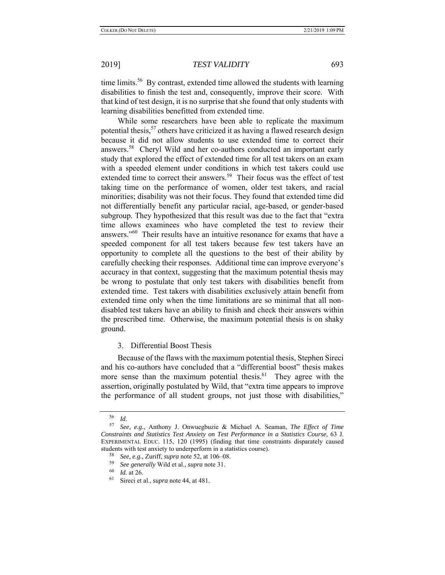time limits.<sup>56</sup> By contrast, extended time allowed the students with learning disabilities to finish the test and, consequently, improve their score. With that kind of test design, it is no surprise that she found that only students with learning disabilities benefitted from extended time.

While some researchers have been able to replicate the maximum potential thesis,  $57$  others have criticized it as having a flawed research design because it did not allow students to use extended time to correct their answers.58 Cheryl Wild and her co-authors conducted an important early study that explored the effect of extended time for all test takers on an exam with a speeded element under conditions in which test takers could use extended time to correct their answers.<sup>59</sup> Their focus was the effect of test taking time on the performance of women, older test takers, and racial minorities; disability was not their focus. They found that extended time did not differentially benefit any particular racial, age-based, or gender-based subgroup. They hypothesized that this result was due to the fact that "extra time allows examinees who have completed the test to review their answers."60 Their results have an intuitive resonance for exams that have a speeded component for all test takers because few test takers have an opportunity to complete all the questions to the best of their ability by carefully checking their responses. Additional time can improve everyone's accuracy in that context, suggesting that the maximum potential thesis may be wrong to postulate that only test takers with disabilities benefit from extended time. Test takers with disabilities exclusively attain benefit from extended time only when the time limitations are so minimal that all nondisabled test takers have an ability to finish and check their answers within the prescribed time. Otherwise, the maximum potential thesis is on shaky ground.

## 3. Differential Boost Thesis

Because of the flaws with the maximum potential thesis, Stephen Sireci and his co-authors have concluded that a "differential boost" thesis makes more sense than the maximum potential thesis.<sup>61</sup> They agree with the assertion, originally postulated by Wild, that "extra time appears to improve the performance of all student groups, not just those with disabilities,"

 $\frac{56}{57}$  *Id.* 

<sup>57</sup> *See, e.g.*, Anthony J. Onwuegbuzie & Michael A. Seaman, *The Effect of Time Constraints and Statistics Test Anxiety on Test Performance in a Statistics Course*, 63 J. EXPERIMENTAL EDUC. 115, 120 (1995) (finding that time constraints disparately caused students with test anxiety to underperform in a statistics course).

<sup>58</sup> *See, e.g.*, Zuriff, *supra* note 52, at 106–08.

<sup>59</sup> *See generally* Wild et al., *supra* note 31.

 $\frac{60}{61}$  *Id.* at 26.

Sireci et al., *supra* note 44, at 481.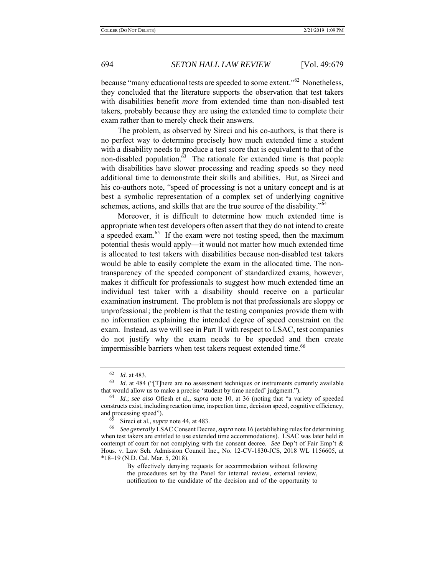because "many educational tests are speeded to some extent."<sup>62</sup> Nonetheless, they concluded that the literature supports the observation that test takers with disabilities benefit *more* from extended time than non-disabled test takers, probably because they are using the extended time to complete their exam rather than to merely check their answers.

The problem, as observed by Sireci and his co-authors, is that there is no perfect way to determine precisely how much extended time a student with a disability needs to produce a test score that is equivalent to that of the non-disabled population. $63$  The rationale for extended time is that people with disabilities have slower processing and reading speeds so they need additional time to demonstrate their skills and abilities. But, as Sireci and his co-authors note, "speed of processing is not a unitary concept and is at best a symbolic representation of a complex set of underlying cognitive schemes, actions, and skills that are the true source of the disability."<sup>64</sup>

Moreover, it is difficult to determine how much extended time is appropriate when test developers often assert that they do not intend to create a speeded exam.<sup>65</sup> If the exam were not testing speed, then the maximum potential thesis would apply—it would not matter how much extended time is allocated to test takers with disabilities because non-disabled test takers would be able to easily complete the exam in the allocated time. The nontransparency of the speeded component of standardized exams, however, makes it difficult for professionals to suggest how much extended time an individual test taker with a disability should receive on a particular examination instrument. The problem is not that professionals are sloppy or unprofessional; the problem is that the testing companies provide them with no information explaining the intended degree of speed constraint on the exam. Instead, as we will see in Part II with respect to LSAC, test companies do not justify why the exam needs to be speeded and then create impermissible barriers when test takers request extended time.<sup>66</sup>

 $\frac{62}{63}$  *Id.* at 483.

*Id.* at 484 ("[T]here are no assessment techniques or instruments currently available that would allow us to make a precise 'student by time needed' judgment.").

<sup>64</sup> *Id.*; *see also* Ofiesh et al., *supra* note 10, at 36 (noting that "a variety of speeded constructs exist, including reaction time, inspection time, decision speed, cognitive efficiency, and processing speed").

<sup>&</sup>lt;sup>65</sup> Sireci et al., *supra* note 44, at 483.<br><sup>66</sup> See generally LSAC Consent Decre

<sup>66</sup> *See generally* LSAC Consent Decree, *supra* note 16 (establishing rules for determining when test takers are entitled to use extended time accommodations). LSAC was later held in contempt of court for not complying with the consent decree. *See* Dep't of Fair Emp't & Hous. v. Law Sch. Admission Council Inc., No. 12-CV-1830-JCS, 2018 WL 1156605, at \*18–19 (N.D. Cal. Mar. 5, 2018).

By effectively denying requests for accommodation without following the procedures set by the Panel for internal review, external review, notification to the candidate of the decision and of the opportunity to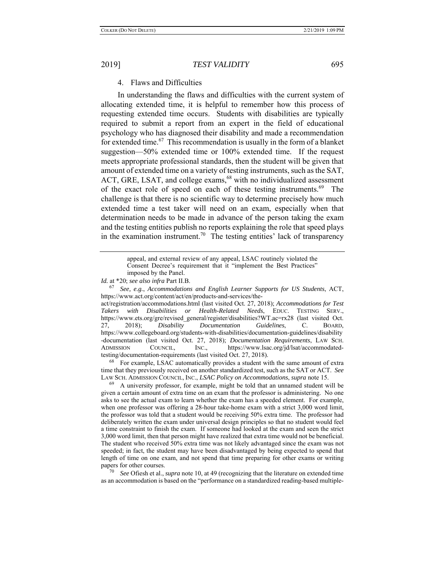## 4. Flaws and Difficulties

In understanding the flaws and difficulties with the current system of allocating extended time, it is helpful to remember how this process of requesting extended time occurs. Students with disabilities are typically required to submit a report from an expert in the field of educational psychology who has diagnosed their disability and made a recommendation for extended time.<sup>67</sup> This recommendation is usually in the form of a blanket suggestion—50% extended time or 100% extended time. If the request meets appropriate professional standards, then the student will be given that amount of extended time on a variety of testing instruments, such as the SAT, ACT, GRE, LSAT, and college exams,<sup>68</sup> with no individualized assessment of the exact role of speed on each of these testing instruments. 69 The challenge is that there is no scientific way to determine precisely how much extended time a test taker will need on an exam, especially when that determination needs to be made in advance of the person taking the exam and the testing entities publish no reports explaining the role that speed plays in the examination instrument.<sup>70</sup> The testing entities' lack of transparency

act/registration/accommodations.html (last visited Oct. 27, 2018); *Accommodations for Test Takers with Disabilities or Health-Related Needs*, EDUC. TESTING SERV., https://www.ets.org/gre/revised\_general/register/disabilities?WT.ac=rx28 (last visited Oct. 27, 2018); *Disability Documentation Guidelines*, C. BOARD, https://www.collegeboard.org/students-with-disabilities/documentation-guidelines/disability -documentation (last visited Oct. 27, 2018); *Documentation Requirements*, LAW SCH. ADMISSION COUNCIL, INC., https://www.lsac.org/jd/lsat/accommodated-<br>testing/documentation-requirements (last visited Oct. 27, 2018).

 $68$  For example, LSAC automatically provides a student with the same amount of extra time that they previously received on another standardized test, such as the SAT or ACT. *See*  LAW SCH. ADMISSION COUNCIL, INC., *LSAC Policy on Accommodations*, *supra* note 15.

69 A university professor, for example, might be told that an unnamed student will be given a certain amount of extra time on an exam that the professor is administering. No one asks to see the actual exam to learn whether the exam has a speeded element. For example, when one professor was offering a 28-hour take-home exam with a strict 3,000 word limit, the professor was told that a student would be receiving 50% extra time. The professor had deliberately written the exam under universal design principles so that no student would feel a time constraint to finish the exam. If someone had looked at the exam and seen the strict 3,000 word limit, then that person might have realized that extra time would not be beneficial. The student who received 50% extra time was not likely advantaged since the exam was not speeded; in fact, the student may have been disadvantaged by being expected to spend that length of time on one exam, and not spend that time preparing for other exams or writing papers for other courses.

<sup>70</sup> *See* Ofiesh et al., *supra* note 10, at 49 (recognizing that the literature on extended time as an accommodation is based on the "performance on a standardized reading-based multiple-

appeal, and external review of any appeal, LSAC routinely violated the Consent Decree's requirement that it "implement the Best Practices" imposed by the Panel.

*Id.* at \*20; *see also infra* Part II.B.

<sup>67</sup> *See, e.g.*, *Accommodations and English Learner Supports for US Students*, ACT, https://www.act.org/content/act/en/products-and-services/the-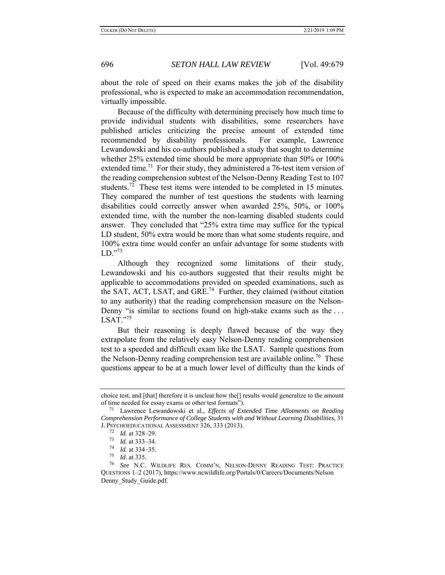about the role of speed on their exams makes the job of the disability professional, who is expected to make an accommodation recommendation, virtually impossible.

Because of the difficulty with determining precisely how much time to provide individual students with disabilities, some researchers have published articles criticizing the precise amount of extended time recommended by disability professionals. For example, Lawrence Lewandowski and his co-authors published a study that sought to determine whether 25% extended time should be more appropriate than 50% or 100% extended time.<sup>71</sup> For their study, they administered a 76-test item version of the reading comprehension subtest of the Nelson-Denny Reading Test to 107 students.<sup>72</sup> These test items were intended to be completed in 15 minutes. They compared the number of test questions the students with learning disabilities could correctly answer when awarded 25%, 50%, or 100% extended time, with the number the non-learning disabled students could answer. They concluded that "25% extra time may suffice for the typical LD student, 50% extra would be more than what some students require, and 100% extra time would confer an unfair advantage for some students with  $LD.$ <sup>73</sup>

Although they recognized some limitations of their study, Lewandowski and his co-authors suggested that their results might be applicable to accommodations provided on speeded examinations, such as the SAT, ACT, LSAT, and GRE.<sup>74</sup> Further, they claimed (without citation to any authority) that the reading comprehension measure on the Nelson-Denny "is similar to sections found on high-stake exams such as the ...  $LSAT."^{75}$ 

But their reasoning is deeply flawed because of the way they extrapolate from the relatively easy Nelson-Denny reading comprehension test to a speeded and difficult exam like the LSAT. Sample questions from the Nelson-Denny reading comprehension test are available online.<sup>76</sup> These questions appear to be at a much lower level of difficulty than the kinds of

choice test, and [that] therefore it is unclear how the[] results would generalize to the amount of time needed for essay exams or other test formats").

<sup>71</sup> Lawrence Lewandowski et al., *Effects of Extended Time Allotments on Reading Comprehension Performance of College Students with and Without Learning Disabilities*, 31 J. PSYCHOEDUCATIONAL ASSESSMENT 326, 333 (2013).

 $\frac{72}{73}$  *Id.* at 328–29.<br> $\frac{73}{14}$  at 333–34

 $\frac{73}{74}$  *Id.* at 333–34.<br> $\frac{74}{74}$  *Id.* at 334–35

<sup>74</sup> *Id.* at 334–35. 75 *Id.* at 335.

See N.C. WILDLIFE RES. COMM'N, NELSON-DENNY READING TEST: PRACTICE QUESTIONS 1–2 (2017), https://www.ncwildlife.org/Portals/0/Careers/Documents/Nelson Denny Study Guide.pdf.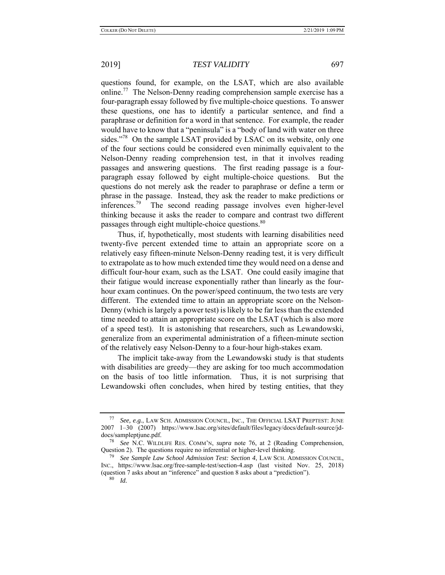questions found, for example, on the LSAT, which are also available online.<sup>77</sup> The Nelson-Denny reading comprehension sample exercise has a four-paragraph essay followed by five multiple-choice questions. To answer these questions, one has to identify a particular sentence, and find a paraphrase or definition for a word in that sentence. For example, the reader would have to know that a "peninsula" is a "body of land with water on three sides."<sup>78</sup> On the sample LSAT provided by LSAC on its website, only one of the four sections could be considered even minimally equivalent to the Nelson-Denny reading comprehension test, in that it involves reading passages and answering questions. The first reading passage is a fourparagraph essay followed by eight multiple-choice questions. But the questions do not merely ask the reader to paraphrase or define a term or phrase in the passage. Instead, they ask the reader to make predictions or inferences.<sup>79</sup> The second reading passage involves even higher-level thinking because it asks the reader to compare and contrast two different passages through eight multiple-choice questions.<sup>80</sup>

Thus, if, hypothetically, most students with learning disabilities need twenty-five percent extended time to attain an appropriate score on a relatively easy fifteen-minute Nelson-Denny reading test, it is very difficult to extrapolate as to how much extended time they would need on a dense and difficult four-hour exam, such as the LSAT. One could easily imagine that their fatigue would increase exponentially rather than linearly as the fourhour exam continues. On the power/speed continuum, the two tests are very different. The extended time to attain an appropriate score on the Nelson-Denny (which is largely a power test) is likely to be far less than the extended time needed to attain an appropriate score on the LSAT (which is also more of a speed test). It is astonishing that researchers, such as Lewandowski, generalize from an experimental administration of a fifteen-minute section of the relatively easy Nelson-Denny to a four-hour high-stakes exam.

The implicit take-away from the Lewandowski study is that students with disabilities are greedy—they are asking for too much accommodation on the basis of too little information. Thus, it is not surprising that Lewandowski often concludes, when hired by testing entities, that they

<sup>77</sup> *See, e.g.*, LAW SCH. ADMISSION COUNCIL, INC., THE OFFICIAL LSAT PREPTEST: JUNE 2007 1–30 (2007) https://www.lsac.org/sites/default/files/legacy/docs/default-source/jddocs/sampleptjune.pdf.

<sup>78</sup> *See* N.C. WILDLIFE RES. COMM'N, *supra* note 76, at 2 (Reading Comprehension, Question 2). The questions require no inferential or higher-level thinking.

<sup>79</sup> *See Sample Law School Admission Test: Section 4*, LAW SCH. ADMISSION COUNCIL, INC., https://www.lsac.org/free-sample-test/section-4.asp (last visited Nov. 25, 2018) (question 7 asks about an "inference" and question 8 asks about a "prediction").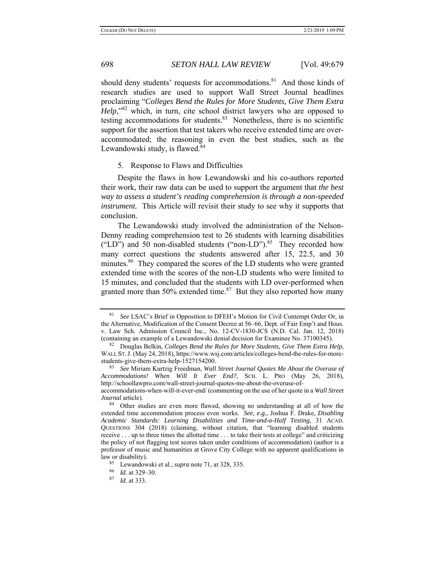should deny students' requests for accommodations.<sup>81</sup> And those kinds of research studies are used to support Wall Street Journal headlines proclaiming "*Colleges Bend the Rules for More Students, Give Them Extra Help*,<sup>82</sup> which, in turn, cite school district lawyers who are opposed to testing accommodations for students.<sup>83</sup> Nonetheless, there is no scientific support for the assertion that test takers who receive extended time are overaccommodated; the reasoning in even the best studies, such as the Lewandowski study, is flawed.<sup>84</sup>

### 5. Response to Flaws and Difficulties

Despite the flaws in how Lewandowski and his co-authors reported their work, their raw data can be used to support the argument that *the best way to assess a student's reading comprehension is through a non-speeded instrument.* This Article will revisit their study to see why it supports that conclusion.

The Lewandowski study involved the administration of the Nelson-Denny reading comprehension test to 26 students with learning disabilities ("LD") and 50 non-disabled students ("non-LD"). $85$  They recorded how many correct questions the students answered after 15, 22.5, and 30 minutes.<sup>86</sup> They compared the scores of the LD students who were granted extended time with the scores of the non-LD students who were limited to 15 minutes, and concluded that the students with LD over-performed when granted more than 50% extended time. $87$  But they also reported how many

law or disability).

<sup>81</sup> *See* LSAC's Brief in Opposition to DFEH's Motion for Civil Contempt Order Or, in the Alternative, Modification of the Consent Decree at 56–66, Dept. of Fair Emp't and Hous. v. Law Sch. Admission Council Inc., No. 12-CV-1830-JCS (N.D. Cal. Jan. 12, 2018) (containing an example of a Lewandowski denial decision for Examinee No. 37100345).

<sup>82</sup> Douglas Belkin, *Colleges Bend the Rules for More Students, Give Them Extra Help*, WALL ST.J. (May 24, 2018), https://www.wsj.com/articles/colleges-bend-the-rules-for-morestudents-give-them-extra-help-1527154200.

<sup>83</sup> *See* Miriam Kurtzig Freedman, *Wall Street Journal Quotes Me About the Overuse of Accommodations! When Will It Ever End?*, SCH. L. PRO (May 26, 2018), http://schoollawpro.com/wall-street-journal-quotes-me-about-the-overuse-ofaccommodations-when-will-it-ever-end/ (commenting on the use of her quote in a *Wall Street* 

*Journal* article). 84 Other studies are even more flawed, showing no understanding at all of how the extended time accommodation process even works. *See, e.g.*, Joshua F. Drake, *Disabling Academic Standards: Learning Disabilities and Time-and-a-Half Testing*, 31 ACAD. QUESTIONS 304 (2018) (claiming, without citation, that "learning disabled students receive . . . up to three times the allotted time . . . to take their tests at college" and criticizing the policy of not flagging test scores taken under conditions of accommodation) (author is a professor of music and humanities at Grove City College with no apparent qualifications in

<sup>85</sup> Lewandowski et al., *supra* note 71, at 328, 335.

<sup>86</sup> *Id.* at 329–30.

<sup>87</sup> *Id.* at 333.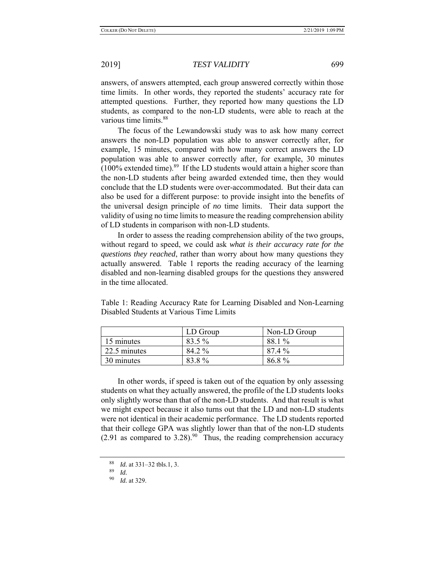answers, of answers attempted, each group answered correctly within those time limits. In other words, they reported the students' accuracy rate for attempted questions. Further, they reported how many questions the LD students, as compared to the non-LD students, were able to reach at the various time limits.<sup>88</sup>

The focus of the Lewandowski study was to ask how many correct answers the non-LD population was able to answer correctly after, for example, 15 minutes, compared with how many correct answers the LD population was able to answer correctly after, for example, 30 minutes  $(100\%$  extended time).<sup>89</sup> If the LD students would attain a higher score than the non-LD students after being awarded extended time, then they would conclude that the LD students were over-accommodated. But their data can also be used for a different purpose: to provide insight into the benefits of the universal design principle of *no* time limits. Their data support the validity of using no time limits to measure the reading comprehension ability of LD students in comparison with non-LD students.

In order to assess the reading comprehension ability of the two groups, without regard to speed, we could ask *what is their accuracy rate for the questions they reached*, rather than worry about how many questions they actually answered. Table 1 reports the reading accuracy of the learning disabled and non-learning disabled groups for the questions they answered in the time allocated.

|              | LD Group | Non-LD Group |
|--------------|----------|--------------|
| 15 minutes   | 83.5 %   | 88.1 %       |
| 22.5 minutes | 84.2 %   | 87.4 %       |
| 30 minutes   | 83.8%    | 86.8%        |

Table 1: Reading Accuracy Rate for Learning Disabled and Non-Learning Disabled Students at Various Time Limits

In other words, if speed is taken out of the equation by only assessing students on what they actually answered, the profile of the LD students looks only slightly worse than that of the non-LD students. And that result is what we might expect because it also turns out that the LD and non-LD students were not identical in their academic performance. The LD students reported that their college GPA was slightly lower than that of the non-LD students  $(2.91$  as compared to  $3.28$ ).<sup>90</sup> Thus, the reading comprehension accuracy

<sup>88</sup> *Id.* at 331–32 tbls.1, 3.

 $\frac{89}{90}$  *Id.* 

*Id.* at 329.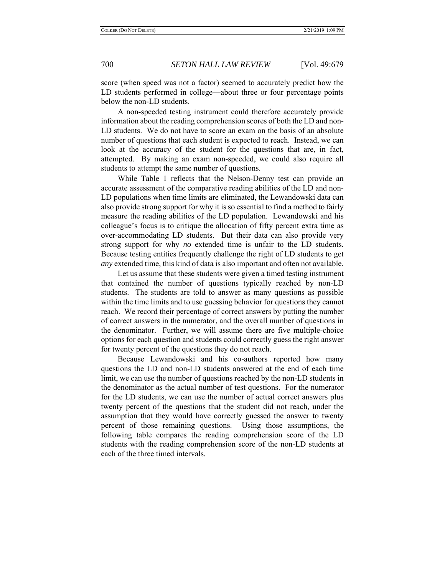score (when speed was not a factor) seemed to accurately predict how the LD students performed in college—about three or four percentage points below the non-LD students.

A non-speeded testing instrument could therefore accurately provide information about the reading comprehension scores of both the LD and non-LD students. We do not have to score an exam on the basis of an absolute number of questions that each student is expected to reach. Instead, we can look at the accuracy of the student for the questions that are, in fact, attempted. By making an exam non-speeded, we could also require all students to attempt the same number of questions.

While Table 1 reflects that the Nelson-Denny test can provide an accurate assessment of the comparative reading abilities of the LD and non-LD populations when time limits are eliminated, the Lewandowski data can also provide strong support for why it is so essential to find a method to fairly measure the reading abilities of the LD population. Lewandowski and his colleague's focus is to critique the allocation of fifty percent extra time as over-accommodating LD students. But their data can also provide very strong support for why *no* extended time is unfair to the LD students. Because testing entities frequently challenge the right of LD students to get *any* extended time, this kind of data is also important and often not available.

Let us assume that these students were given a timed testing instrument that contained the number of questions typically reached by non-LD students. The students are told to answer as many questions as possible within the time limits and to use guessing behavior for questions they cannot reach. We record their percentage of correct answers by putting the number of correct answers in the numerator, and the overall number of questions in the denominator. Further, we will assume there are five multiple-choice options for each question and students could correctly guess the right answer for twenty percent of the questions they do not reach.

Because Lewandowski and his co-authors reported how many questions the LD and non-LD students answered at the end of each time limit, we can use the number of questions reached by the non-LD students in the denominator as the actual number of test questions. For the numerator for the LD students, we can use the number of actual correct answers plus twenty percent of the questions that the student did not reach, under the assumption that they would have correctly guessed the answer to twenty percent of those remaining questions. Using those assumptions, the following table compares the reading comprehension score of the LD students with the reading comprehension score of the non-LD students at each of the three timed intervals.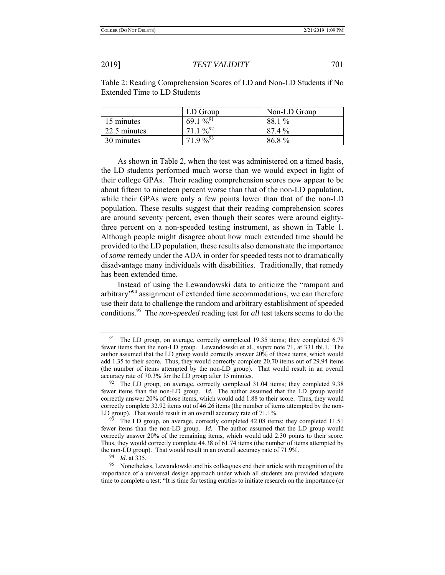Table 2: Reading Comprehension Scores of LD and Non-LD Students if No Extended Time to LD Students

|              | LD Group             | Non-LD Group |
|--------------|----------------------|--------------|
| 15 minutes   | 69.1 % <sup>91</sup> | 88.1 %       |
| 22.5 minutes | $71.1\%^{92}$        | 87.4 %       |
| 30 minutes   | $71.9\%^{93}$        | 86.8%        |

As shown in Table 2, when the test was administered on a timed basis, the LD students performed much worse than we would expect in light of their college GPAs. Their reading comprehension scores now appear to be about fifteen to nineteen percent worse than that of the non-LD population, while their GPAs were only a few points lower than that of the non-LD population. These results suggest that their reading comprehension scores are around seventy percent, even though their scores were around eightythree percent on a non-speeded testing instrument, as shown in Table 1. Although people might disagree about how much extended time should be provided to the LD population, these results also demonstrate the importance of *some* remedy under the ADA in order for speeded tests not to dramatically disadvantage many individuals with disabilities. Traditionally, that remedy has been extended time.

Instead of using the Lewandowski data to criticize the "rampant and arbitrary<sup>"94</sup> assignment of extended time accommodations, we can therefore use their data to challenge the random and arbitrary establishment of speeded conditions.95 The *non-speeded* reading test for *all* test takers seems to do the

<sup>&</sup>lt;sup>91</sup> The LD group, on average, correctly completed 19.35 items; they completed 6.79 fewer items than the non-LD group. Lewandowski et al., *supra* note 71, at 331 tbl.1. The author assumed that the LD group would correctly answer 20% of those items, which would add 1.35 to their score. Thus, they would correctly complete 20.70 items out of 29.94 items (the number of items attempted by the non-LD group). That would result in an overall accuracy rate of 70.3% for the LD group after 15 minutes.

 $92$  The LD group, on average, correctly completed 31.04 items; they completed 9.38 fewer items than the non-LD group. *Id.* The author assumed that the LD group would correctly answer 20% of those items, which would add 1.88 to their score. Thus, they would correctly complete 32.92 items out of 46.26 items (the number of items attempted by the non-LD group). That would result in an overall accuracy rate of 71.1%.

<sup>&</sup>lt;sup>93</sup> The LD group, on average, correctly completed 42.08 items; they completed 11.51 fewer items than the non-LD group. *Id.* The author assumed that the LD group would correctly answer 20% of the remaining items, which would add 2.30 points to their score. Thus, they would correctly complete 44.38 of 61.74 items (the number of items attempted by the non-LD group). That would result in an overall accuracy rate of 71.9%.

 $\frac{94}{95}$  *Id.* at 335.

<sup>95</sup> Nonetheless, Lewandowski and his colleagues end their article with recognition of the importance of a universal design approach under which all students are provided adequate time to complete a test: "It is time for testing entities to initiate research on the importance (or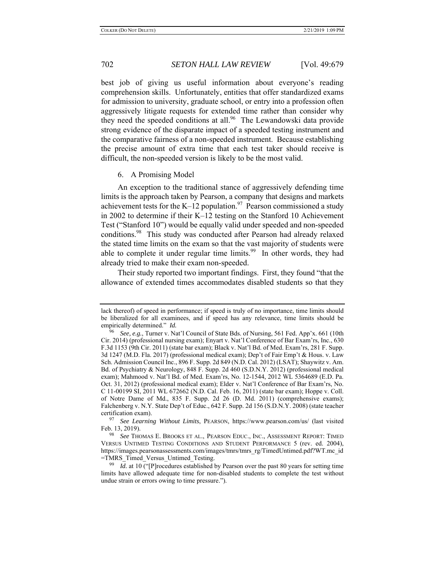best job of giving us useful information about everyone's reading comprehension skills. Unfortunately, entities that offer standardized exams for admission to university, graduate school, or entry into a profession often aggressively litigate requests for extended time rather than consider why they need the speeded conditions at all.<sup>96</sup> The Lewandowski data provide strong evidence of the disparate impact of a speeded testing instrument and the comparative fairness of a non-speeded instrument. Because establishing the precise amount of extra time that each test taker should receive is difficult, the non-speeded version is likely to be the most valid.

## 6. A Promising Model

An exception to the traditional stance of aggressively defending time limits is the approach taken by Pearson, a company that designs and markets achievement tests for the K–12 population.<sup>97</sup> Pearson commissioned a study in 2002 to determine if their K–12 testing on the Stanford 10 Achievement Test ("Stanford 10") would be equally valid under speeded and non-speeded conditions.<sup>98</sup> This study was conducted after Pearson had already relaxed the stated time limits on the exam so that the vast majority of students were able to complete it under regular time limits.<sup>99</sup> In other words, they had already tried to make their exam non-speeded.

Their study reported two important findings. First, they found "that the allowance of extended times accommodates disabled students so that they

lack thereof) of speed in performance; if speed is truly of no importance, time limits should be liberalized for all examinees, and if speed has any relevance, time limits should be empirically determined." *Id.* 

<sup>96</sup> *See, e.g.*, Turner v. Nat'l Council of State Bds. of Nursing, 561 Fed. App'x. 661 (10th Cir. 2014) (professional nursing exam); Enyart v. Nat'l Conference of Bar Exam'rs, Inc., 630 F.3d 1153 (9th Cir. 2011) (state bar exam); Black v. Nat'l Bd. of Med. Exam'rs, 281 F. Supp. 3d 1247 (M.D. Fla. 2017) (professional medical exam); Dep't of Fair Emp't & Hous. v. Law Sch. Admission Council Inc., 896 F. Supp. 2d 849 (N.D. Cal. 2012) (LSAT); Shaywitz v. Am. Bd. of Psychiatry & Neurology, 848 F. Supp. 2d 460 (S.D.N.Y. 2012) (professional medical exam); Mahmood v. Nat'l Bd. of Med. Exam'rs, No. 12-1544, 2012 WL 5364689 (E.D. Pa. Oct. 31, 2012) (professional medical exam); Elder v. Nat'l Conference of Bar Exam'rs, No. C 11-00199 SI, 2011 WL 672662 (N.D. Cal. Feb. 16, 2011) (state bar exam); Hoppe v. Coll. of Notre Dame of Md., 835 F. Supp. 2d 26 (D. Md. 2011) (comprehensive exams); Falchenberg v. N.Y. State Dep't of Educ., 642 F. Supp. 2d 156 (S.D.N.Y. 2008) (state teacher certification exam).

<sup>97</sup> *See Learning Without Limits*, PEARSON, https://www.pearson.com/us/ (last visited Feb. 13, 2019).

<sup>98</sup> *See* THOMAS E. BROOKS ET AL., PEARSON EDUC., INC., ASSESSMENT REPORT: TIMED VERSUS UNTIMED TESTING CONDITIONS AND STUDENT PERFORMANCE 5 (rev. ed. 2004), https://images.pearsonassessments.com/images/tmrs/tmrs\_rg/TimedUntimed.pdf?WT.mc\_id =TMRS\_Timed\_Versus\_Untimed\_Testing.

<sup>&</sup>lt;sup>99</sup> *Id.* at 10 ("[P]rocedures established by Pearson over the past 80 years for setting time limits have allowed adequate time for non-disabled students to complete the test without undue strain or errors owing to time pressure.").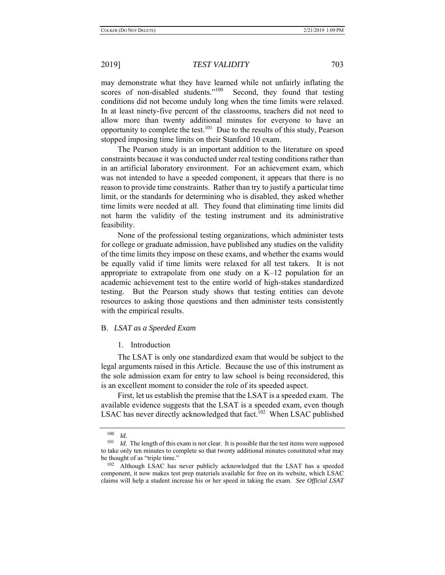may demonstrate what they have learned while not unfairly inflating the scores of non-disabled students."<sup>100</sup> Second, they found that testing conditions did not become unduly long when the time limits were relaxed. In at least ninety-five percent of the classrooms, teachers did not need to allow more than twenty additional minutes for everyone to have an opportunity to complete the test.<sup>101</sup> Due to the results of this study, Pearson stopped imposing time limits on their Stanford 10 exam.

The Pearson study is an important addition to the literature on speed constraints because it was conducted under real testing conditions rather than in an artificial laboratory environment. For an achievement exam, which was not intended to have a speeded component, it appears that there is no reason to provide time constraints. Rather than try to justify a particular time limit, or the standards for determining who is disabled, they asked whether time limits were needed at all. They found that eliminating time limits did not harm the validity of the testing instrument and its administrative feasibility.

None of the professional testing organizations, which administer tests for college or graduate admission, have published any studies on the validity of the time limits they impose on these exams, and whether the exams would be equally valid if time limits were relaxed for all test takers. It is not appropriate to extrapolate from one study on a  $K-12$  population for an academic achievement test to the entire world of high-stakes standardized testing. But the Pearson study shows that testing entities can devote resources to asking those questions and then administer tests consistently with the empirical results.

## B. *LSAT as a Speeded Exam*

### 1. Introduction

The LSAT is only one standardized exam that would be subject to the legal arguments raised in this Article. Because the use of this instrument as the sole admission exam for entry to law school is being reconsidered, this is an excellent moment to consider the role of its speeded aspect.

First, let us establish the premise that the LSAT is a speeded exam. The available evidence suggests that the LSAT is a speeded exam, even though LSAC has never directly acknowledged that fact.<sup>102</sup> When LSAC published

<sup>100</sup>*Id. Id.* The length of this exam is not clear. It is possible that the test items were supposed <sup>101</sup>*Id.* The length of this exam is not clear. It is possible that the test items were supposed to take only ten minutes to complete so that twenty additional minutes constituted what may be thought of as "triple time."

<sup>&</sup>lt;sup>102</sup> Although LSAC has never publicly acknowledged that the LSAT has a speeded component, it now makes test prep materials available for free on its website, which LSAC claims will help a student increase his or her speed in taking the exam. *See Official LSAT*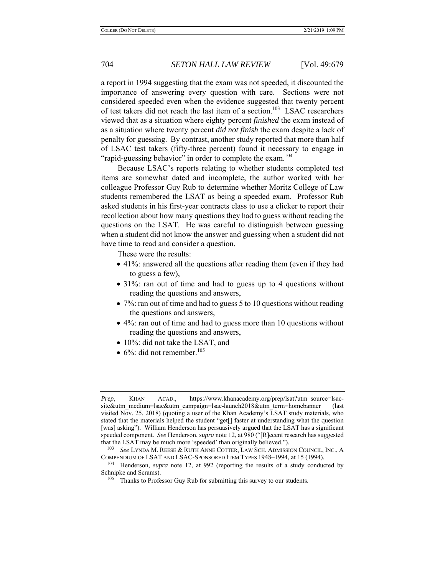a report in 1994 suggesting that the exam was not speeded, it discounted the importance of answering every question with care. Sections were not considered speeded even when the evidence suggested that twenty percent of test takers did not reach the last item of a section.<sup>103</sup> LSAC researchers viewed that as a situation where eighty percent *finished* the exam instead of as a situation where twenty percent *did not finish* the exam despite a lack of penalty for guessing. By contrast, another study reported that more than half of LSAC test takers (fifty-three percent) found it necessary to engage in "rapid-guessing behavior" in order to complete the exam.<sup>104</sup>

Because LSAC's reports relating to whether students completed test items are somewhat dated and incomplete, the author worked with her colleague Professor Guy Rub to determine whether Moritz College of Law students remembered the LSAT as being a speeded exam. Professor Rub asked students in his first-year contracts class to use a clicker to report their recollection about how many questions they had to guess without reading the questions on the LSAT. He was careful to distinguish between guessing when a student did not know the answer and guessing when a student did not have time to read and consider a question.

These were the results:

- 41%: answered all the questions after reading them (even if they had to guess a few),
- 31%: ran out of time and had to guess up to 4 questions without reading the questions and answers,
- 7%: ran out of time and had to guess 5 to 10 questions without reading the questions and answers,
- 4%: ran out of time and had to guess more than 10 questions without reading the questions and answers,
- 10%: did not take the LSAT, and
- $\bullet$  6%: did not remember.<sup>105</sup>

*Prep*, KHAN ACAD., https://www.khanacademy.org/prep/lsat?utm\_source=lsacsite&utm\_medium=lsac&utm\_campaign=lsac-launch2018&utm\_term=homebanner (last visited Nov. 25, 2018) (quoting a user of the Khan Academy's LSAT study materials, who stated that the materials helped the student "get[] faster at understanding what the question [was] asking"). William Henderson has persuasively argued that the LSAT has a significant speeded component. *See* Henderson, *supra* note 12, at 980 ("[R]ecent research has suggested that the LSAT may be much more 'speeded' than originally believed.").

<sup>103</sup> *See* LYNDA M. REESE & RUTH ANNE COTTER, LAW SCH. ADMISSION COUNCIL, INC., A COMPENDIUM OF LSAT AND LSAC-SPONSORED ITEM TYPES 1948–1994, at 15 (1994).

<sup>104</sup> Henderson, *supra* note 12, at 992 (reporting the results of a study conducted by Schnipke and Scrams).

 $105$  Thanks to Professor Guy Rub for submitting this survey to our students.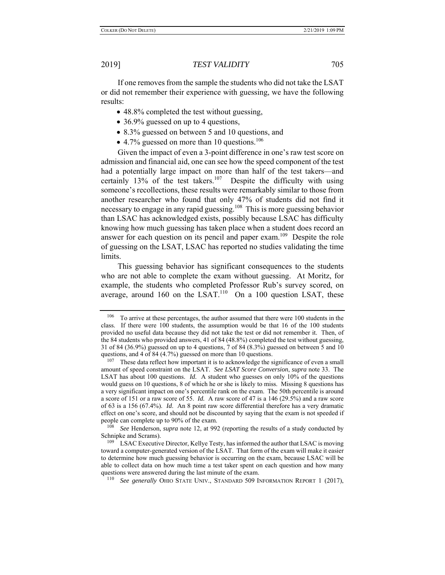If one removes from the sample the students who did not take the LSAT or did not remember their experience with guessing, we have the following results:

- 48.8% completed the test without guessing,
- 36.9% guessed on up to 4 questions,
- 8.3% guessed on between 5 and 10 questions, and
- $\bullet$  4.7% guessed on more than 10 questions.<sup>106</sup>

Given the impact of even a 3-point difference in one's raw test score on admission and financial aid, one can see how the speed component of the test had a potentially large impact on more than half of the test takers—and certainly 13% of the test takers.<sup>107</sup> Despite the difficulty with using someone's recollections, these results were remarkably similar to those from another researcher who found that only 47% of students did not find it necessary to engage in any rapid guessing.<sup>108</sup> This is more guessing behavior than LSAC has acknowledged exists, possibly because LSAC has difficulty knowing how much guessing has taken place when a student does record an answer for each question on its pencil and paper exam.<sup>109</sup> Despite the role of guessing on the LSAT, LSAC has reported no studies validating the time limits.

This guessing behavior has significant consequences to the students who are not able to complete the exam without guessing. At Moritz, for example, the students who completed Professor Rub's survey scored, on average, around 160 on the LSAT. $110$  On a 100 question LSAT, these

<sup>&</sup>lt;sup>106</sup> To arrive at these percentages, the author assumed that there were 100 students in the class. If there were 100 students, the assumption would be that 16 of the 100 students provided no useful data because they did not take the test or did not remember it. Then, of the 84 students who provided answers, 41 of 84 (48.8%) completed the test without guessing, 31 of 84 (36.9%) guessed on up to 4 questions, 7 of 84 (8.3%) guessed on between 5 and 10 questions, and 4 of 84 (4.7%) guessed on more than 10 questions.<br><sup>107</sup> These data reflect how important it is to acknowledge the significance of even a small

amount of speed constraint on the LSAT. *See LSAT Score Conversion*, *supra* note 33. The LSAT has about 100 questions. *Id.* A student who guesses on only 10% of the questions would guess on 10 questions, 8 of which he or she is likely to miss. Missing 8 questions has a very significant impact on one's percentile rank on the exam. The 50th percentile is around a score of 151 or a raw score of 55. *Id.* A raw score of 47 is a 146 (29.5%) and a raw score of 63 is a 156 (67.4%). *Id*. An 8 point raw score differential therefore has a very dramatic effect on one's score, and should not be discounted by saying that the exam is not speeded if people can complete up to 90% of the exam.<br> $\frac{108}{200}$  See Handanean, summa note 12, et 00%

See Henderson, *supra* note 12, at 992 (reporting the results of a study conducted by Schnipke and Scrams).

<sup>&</sup>lt;sup>109</sup> LSAC Executive Director, Kellye Testy, has informed the author that LSAC is moving toward a computer-generated version of the LSAT. That form of the exam will make it easier to determine how much guessing behavior is occurring on the exam, because LSAC will be able to collect data on how much time a test taker spent on each question and how many questions were answered during the last minute of the exam.

<sup>110</sup> *See generally* OHIO STATE UNIV., STANDARD 509 INFORMATION REPORT 1 (2017),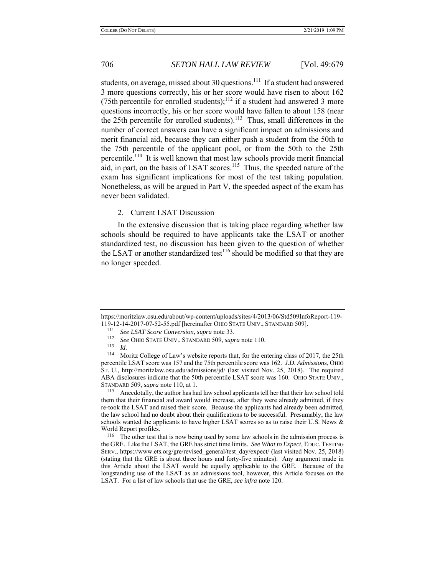students, on average, missed about 30 questions.<sup>111</sup> If a student had answered 3 more questions correctly, his or her score would have risen to about 162 (75th percentile for enrolled students);<sup>112</sup> if a student had answered 3 more questions incorrectly, his or her score would have fallen to about 158 (near the 25th percentile for enrolled students).<sup>113</sup> Thus, small differences in the number of correct answers can have a significant impact on admissions and merit financial aid, because they can either push a student from the 50th to the 75th percentile of the applicant pool, or from the 50th to the 25th percentile.<sup>114</sup> It is well known that most law schools provide merit financial aid, in part, on the basis of LSAT scores.<sup>115</sup> Thus, the speeded nature of the exam has significant implications for most of the test taking population. Nonetheless, as will be argued in Part V, the speeded aspect of the exam has never been validated.

### 2. Current LSAT Discussion

In the extensive discussion that is taking place regarding whether law schools should be required to have applicants take the LSAT or another standardized test, no discussion has been given to the question of whether the LSAT or another standardized test<sup>116</sup> should be modified so that they are no longer speeded.

https://moritzlaw.osu.edu/about/wp-content/uploads/sites/4/2013/06/Std509InfoReport-119- 119-12-14-2017-07-52-55.pdf [hereinafter OHIO STATE UNIV., STANDARD 509]. 111 *See LSAT Score Conversion*, *supra* note 33.

<sup>112</sup> *See* OHIO STATE UNIV., STANDARD 509, *supra* note 110.

<sup>113</sup>*Id.* 114 Moritz College of Law's website reports that, for the entering class of 2017, the 25th percentile LSAT score was 157 and the 75th percentile score was 162. *J.D. Admissions*, OHIO ST. U., http://moritzlaw.osu.edu/admissions/jd/ (last visited Nov. 25, 2018). The required ABA disclosures indicate that the 50th percentile LSAT score was 160. OHIO STATE UNIV., STANDARD 509, *supra* note 110, at 1.

<sup>&</sup>lt;sup>115</sup> Anecdotally, the author has had law school applicants tell her that their law school told them that their financial aid award would increase, after they were already admitted, if they re-took the LSAT and raised their score. Because the applicants had already been admitted, the law school had no doubt about their qualifications to be successful. Presumably, the law schools wanted the applicants to have higher LSAT scores so as to raise their U.S. News & World Report profiles.

<sup>116</sup> The other test that is now being used by some law schools in the admission process is the GRE. Like the LSAT, the GRE has strict time limits. *See What to Expect*, EDUC. TESTING SERV., https://www.ets.org/gre/revised\_general/test\_day/expect/ (last visited Nov. 25, 2018) (stating that the GRE is about three hours and forty-five minutes). Any argument made in this Article about the LSAT would be equally applicable to the GRE. Because of the longstanding use of the LSAT as an admissions tool, however, this Article focuses on the LSAT. For a list of law schools that use the GRE, *see infra* note 120.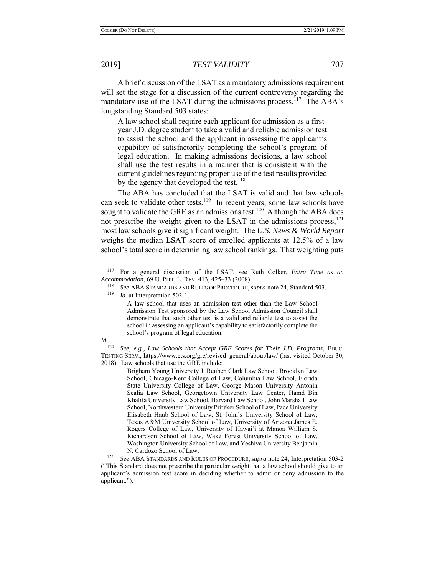A brief discussion of the LSAT as a mandatory admissions requirement will set the stage for a discussion of the current controversy regarding the mandatory use of the LSAT during the admissions process.<sup>117</sup> The ABA's longstanding Standard 503 states:

A law school shall require each applicant for admission as a firstyear J.D. degree student to take a valid and reliable admission test to assist the school and the applicant in assessing the applicant's capability of satisfactorily completing the school's program of legal education. In making admissions decisions, a law school shall use the test results in a manner that is consistent with the current guidelines regarding proper use of the test results provided by the agency that developed the test.<sup>118</sup>

The ABA has concluded that the LSAT is valid and that law schools can seek to validate other tests.<sup>119</sup> In recent years, some law schools have sought to validate the GRE as an admissions test.<sup>120</sup> Although the ABA does not prescribe the weight given to the LSAT in the admissions process,  $^{121}$ most law schools give it significant weight. The *U.S. News & World Report* weighs the median LSAT score of enrolled applicants at 12.5% of a law school's total score in determining law school rankings. That weighting puts

*Id.* at Interpretation 503-1.

A law school that uses an admission test other than the Law School Admission Test sponsored by the Law School Admission Council shall demonstrate that such other test is a valid and reliable test to assist the school in assessing an applicant's capability to satisfactorily complete the school's program of legal education.

## *Id.*

120 *See, e.g.*, *Law Schools that Accept GRE Scores for Their J.D. Programs*, EDUC. TESTING SERV., https://www.ets.org/gre/revised\_general/about/law/ (last visited October 30, 2018). Law schools that use the GRE include:

> Brigham Young University J. Reuben Clark Law School, Brooklyn Law School, Chicago-Kent College of Law, Columbia Law School, Florida State University College of Law, George Mason University Antonin Scalia Law School, Georgetown University Law Center, Hamd Bin Khalifa University Law School, Harvard Law School, John Marshall Law School, Northwestern University Pritzker School of Law, Pace University Elisabeth Haub School of Law, St. John's University School of Law, Texas A&M University School of Law, University of Arizona James E. Rogers College of Law, University of Hawai'i at Manoa William S. Richardson School of Law, Wake Forest University School of Law, Washington University School of Law, and Yeshiva University Benjamin N. Cardozo School of Law.

<sup>121</sup> *See* ABA STANDARDS AND RULES OF PROCEDURE, *supra* note 24, Interpretation 503-2 ("This Standard does not prescribe the particular weight that a law school should give to an applicant's admission test score in deciding whether to admit or deny admission to the applicant.").

<sup>117</sup> For a general discussion of the LSAT, see Ruth Colker, *Extra Time as an Accommodation*, 69 U. PITT. L. REV. 413, 425–33 (2008).

<sup>118</sup> *See* ABA STANDARDS AND RULES OF PROCEDURE, *supra* note 24, Standard 503.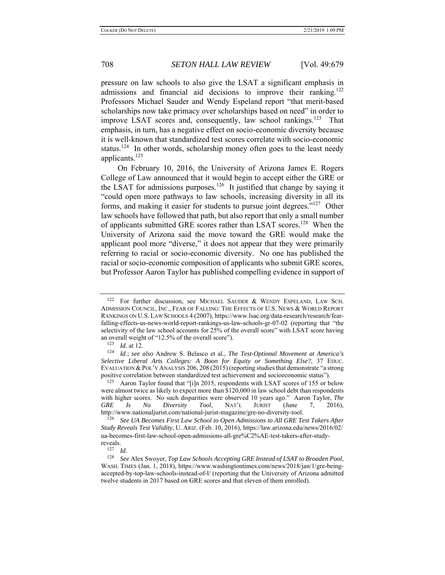pressure on law schools to also give the LSAT a significant emphasis in admissions and financial aid decisions to improve their ranking.<sup>122</sup> Professors Michael Sauder and Wendy Espeland report "that merit-based scholarships now take primacy over scholarships based on need" in order to improve LSAT scores and, consequently, law school rankings.<sup>123</sup> That emphasis, in turn, has a negative effect on socio-economic diversity because it is well-known that standardized test scores correlate with socio-economic status.<sup>124</sup> In other words, scholarship money often goes to the least needy applicants.<sup>125</sup>

On February 10, 2016, the University of Arizona James E. Rogers College of Law announced that it would begin to accept either the GRE or the LSAT for admissions purposes.<sup>126</sup> It justified that change by saying it "could open more pathways to law schools, increasing diversity in all its forms, and making it easier for students to pursue joint degrees."127 Other law schools have followed that path, but also report that only a small number of applicants submitted GRE scores rather than LSAT scores.<sup>128</sup> When the University of Arizona said the move toward the GRE would make the applicant pool more "diverse," it does not appear that they were primarily referring to racial or socio-economic diversity. No one has published the racial or socio-economic composition of applicants who submit GRE scores, but Professor Aaron Taylor has published compelling evidence in support of

<sup>122</sup> For further discussion, see MICHAEL SAUDER & WENDY ESPELAND, LAW SCH. ADMISSION COUNCIL, INC., FEAR OF FALLING: THE EFFECTS OF U.S. NEWS & WORLD REPORT RANKINGS ON U.S. LAW SCHOOLS 4 (2007), https://www.lsac.org/data-research/research/fearfalling-effects-us-news-world-report-rankings-us-law-schools-gr-07-02 (reporting that "the selectivity of the law school accounts for 25% of the overall score" with LSAT score having an overall weight of "12.5% of the overall score").<br> $^{123}$  *Id.* at 12.

<sup>124</sup> *Id.*; see also Andrew S. Belasco et al., *The Test-Optional Movement at America's Selective Liberal Arts Colleges: A Boon for Equity or Something Else?*, 37 EDUC. EVALUATION & POL'Y ANALYSIS 206, 208 (2015) (reporting studies that demonstrate "a strong positive correlation between standardized test achievement and socioeconomic status").

<sup>125</sup> Aaron Taylor found that "[i]n 2015, respondents with LSAT scores of 155 or below were almost twice as likely to expect more than \$120,000 in law school debt than respondents with higher scores. No such disparities were observed 10 years ago." Aaron Taylor, *The* GRE Is No Diversity Tool, NAT'L JURIST (June 7, 2016), *GRE Is No Diversity Tool*, NAT'L JURIST (June 7, 2016), http://www.nationaljurist.com/national-jurist-magazine/gre-no-diversity-tool.

<sup>&</sup>lt;sup>126</sup> See UA Becomes First Law School to Open Admissions to All GRE Test Takers After *Study Reveals Test Validity*, U. ARIZ. (Feb. 10, 2016), https://law.arizona.edu/news/2016/02/ ua-becomes-first-law-school-open-admissions-all-gre%C2%AE-test-takers-after-studyreveals.

 $\frac{127}{128}$  *Id.* 

<sup>128</sup> *See* Alex Swoyer, *Top Law Schools Accepting GRE Instead of LSAT to Broaden Pool*, WASH. TIMES (Jan. 1, 2018), https://www.washingtontimes.com/news/2018/jan/1/gre-beingaccepted-by-top-law-schools-instead-of-l/ (reporting that the University of Arizona admitted twelve students in 2017 based on GRE scores and that eleven of them enrolled).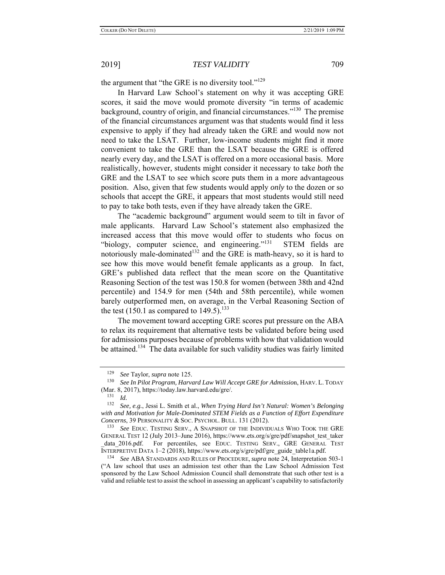the argument that "the GRE is no diversity tool."<sup>129</sup>

In Harvard Law School's statement on why it was accepting GRE scores, it said the move would promote diversity "in terms of academic background, country of origin, and financial circumstances."130 The premise of the financial circumstances argument was that students would find it less expensive to apply if they had already taken the GRE and would now not need to take the LSAT. Further, low-income students might find it more convenient to take the GRE than the LSAT because the GRE is offered nearly every day, and the LSAT is offered on a more occasional basis. More realistically, however, students might consider it necessary to take *both* the GRE and the LSAT to see which score puts them in a more advantageous position. Also, given that few students would apply *only* to the dozen or so schools that accept the GRE, it appears that most students would still need to pay to take both tests, even if they have already taken the GRE.

The "academic background" argument would seem to tilt in favor of male applicants. Harvard Law School's statement also emphasized the increased access that this move would offer to students who focus on "biology, computer science, and engineering."<sup>131</sup> STEM fields are notoriously male-dominated<sup>132</sup> and the GRE is math-heavy, so it is hard to see how this move would benefit female applicants as a group. In fact, GRE's published data reflect that the mean score on the Quantitative Reasoning Section of the test was 150.8 for women (between 38th and 42nd percentile) and 154.9 for men (54th and 58th percentile), while women barely outperformed men, on average, in the Verbal Reasoning Section of the test (150.1 as compared to 149.5).<sup>133</sup>

The movement toward accepting GRE scores put pressure on the ABA to relax its requirement that alternative tests be validated before being used for admissions purposes because of problems with how that validation would be attained.<sup>134</sup> The data available for such validity studies was fairly limited

<sup>129</sup> *See* Taylor, *supra* note 125.

<sup>130</sup> *See In Pilot Program, Harvard Law Will Accept GRE for Admissio*n, HARV. L. TODAY (Mar. 8, 2017), https://today.law.harvard.edu/gre/.

<sup>131</sup> *Id.*

<sup>132</sup> *See, e.g.*, Jessi L. Smith et al., *When Trying Hard Isn't Natural: Women's Belonging with and Motivation for Male-Dominated STEM Fields as a Function of Effort Expenditure Concerns*, 39 PERSONALITY & SOC. PSYCHOL. BULL. 131 (2012).

<sup>133</sup> *See* EDUC. TESTING SERV., A SNAPSHOT OF THE INDIVIDUALS WHO TOOK THE GRE GENERAL TEST 12 (July 2013–June 2016), https://www.ets.org/s/gre/pdf/snapshot\_test\_taker \_data\_2016.pdf. For percentiles, see EDUC. TESTING SERV., GRE GENERAL TEST INTERPRETIVE DATA 1–2 (2018), https://www.ets.org/s/gre/pdf/gre\_guide\_table1a.pdf.

<sup>134</sup> *See* ABA STANDARDS AND RULES OF PROCEDURE, *supra* note 24, Interpretation 503-1 ("A law school that uses an admission test other than the Law School Admission Test sponsored by the Law School Admission Council shall demonstrate that such other test is a valid and reliable test to assist the school in assessing an applicant's capability to satisfactorily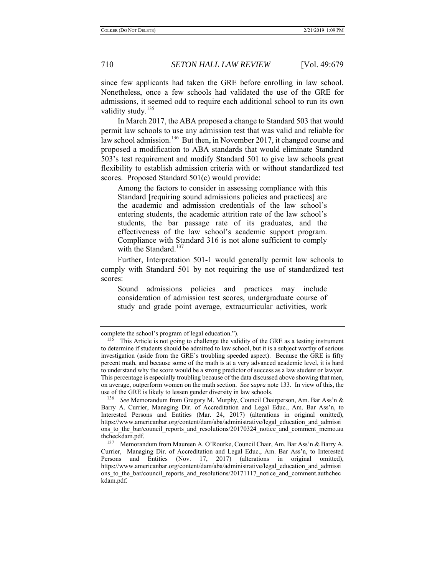since few applicants had taken the GRE before enrolling in law school. Nonetheless, once a few schools had validated the use of the GRE for admissions, it seemed odd to require each additional school to run its own validity study.<sup>135</sup>

In March 2017, the ABA proposed a change to Standard 503 that would permit law schools to use any admission test that was valid and reliable for law school admission.<sup>136</sup> But then, in November 2017, it changed course and proposed a modification to ABA standards that would eliminate Standard 503's test requirement and modify Standard 501 to give law schools great flexibility to establish admission criteria with or without standardized test scores. Proposed Standard 501(c) would provide:

Among the factors to consider in assessing compliance with this Standard [requiring sound admissions policies and practices] are the academic and admission credentials of the law school's entering students, the academic attrition rate of the law school's students, the bar passage rate of its graduates, and the effectiveness of the law school's academic support program. Compliance with Standard 316 is not alone sufficient to comply with the Standard.<sup>137</sup>

Further, Interpretation 501-1 would generally permit law schools to comply with Standard 501 by not requiring the use of standardized test scores:

Sound admissions policies and practices may include consideration of admission test scores, undergraduate course of study and grade point average, extracurricular activities, work

complete the school's program of legal education.").<br><sup>135</sup> This Article is not going to challenge the value

This Article is not going to challenge the validity of the GRE as a testing instrument to determine if students should be admitted to law school, but it is a subject worthy of serious investigation (aside from the GRE's troubling speeded aspect). Because the GRE is fifty percent math, and because some of the math is at a very advanced academic level, it is hard to understand why the score would be a strong predictor of success as a law student or lawyer. This percentage is especially troubling because of the data discussed above showing that men, on average, outperform women on the math section. *See supra* note 133. In view of this, the use of the GRE is likely to lessen gender diversity in law schools.

<sup>136</sup> *See* Memorandum from Gregory M. Murphy, Council Chairperson, Am. Bar Ass'n & Barry A. Currier, Managing Dir. of Accreditation and Legal Educ., Am. Bar Ass'n, to Interested Persons and Entities (Mar. 24, 2017) (alterations in original omitted), https://www.americanbar.org/content/dam/aba/administrative/legal\_education\_and\_admissi ons to the bar/council reports and resolutions/20170324 notice and comment memo.au thcheckdam.pdf.

<sup>137</sup> Memorandum from Maureen A. O'Rourke, Council Chair, Am. Bar Ass'n & Barry A. Currier, Managing Dir. of Accreditation and Legal Educ., Am. Bar Ass'n, to Interested Persons and Entities (Nov. 17, 2017) (alterations in original omitted), https://www.americanbar.org/content/dam/aba/administrative/legal\_education\_and\_admissi ons to the bar/council reports and resolutions/20171117 notice and comment.authchec kdam.pdf.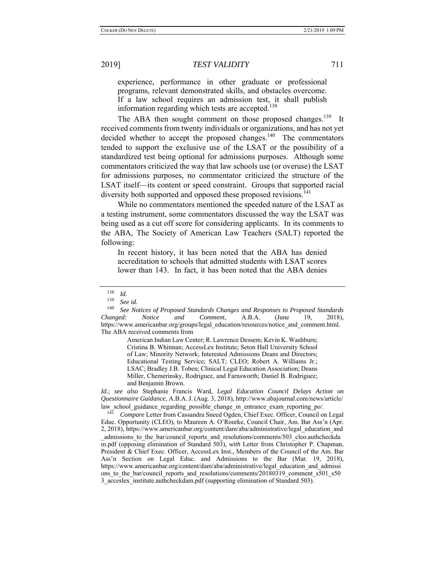experience, performance in other graduate or professional programs, relevant demonstrated skills, and obstacles overcome. If a law school requires an admission test, it shall publish information regarding which tests are accepted.<sup>138</sup>

The ABA then sought comment on those proposed changes.<sup>139</sup> It received comments from twenty individuals or organizations, and has not yet decided whether to accept the proposed changes. $140$  The commentators tended to support the exclusive use of the LSAT or the possibility of a standardized test being optional for admissions purposes. Although some commentators criticized the way that law schools use (or overuse) the LSAT for admissions purposes, no commentator criticized the structure of the LSAT itself—its content or speed constraint. Groups that supported racial diversity both supported and opposed these proposed revisions.<sup>141</sup>

While no commentators mentioned the speeded nature of the LSAT as a testing instrument, some commentators discussed the way the LSAT was being used as a cut off score for considering applicants. In its comments to the ABA, The Society of American Law Teachers (SALT) reported the following:

In recent history, it has been noted that the ABA has denied accreditation to schools that admitted students with LSAT scores lower than 143. In fact, it has been noted that the ABA denies

American Indian Law Center; R. Lawrence Dessem; Kevin K. Washburn; Cristina B. Whitman; AccessLex Institute; Seton Hall University School of Law; Minority Network; Interested Admissions Deans and Directors; Educational Testing Service; SALT; CLEO; Robert A. Williams Jr.; LSAC; Bradley J.B. Toben; Clinical Legal Education Association; Deans Miller, Chemerinsky, Rodriguez, and Farnsworth; Daniel B. Rodriguez; and Benjamin Brown.

*Id.*; *see also* Stephanie Francis Ward, *Legal Education Council Delays Action on Questionnaire Guidance*, A.B.A.J. (Aug. 3, 2018), http://www.abajournal.com/news/article/ law\_school\_guidance\_regarding\_possible\_change\_in\_entrance\_exam\_reporting\_po/. 141 *Compare* Letter from Cassandra Sneed Ogden, Chief Exec. Officer, Council on Legal

Educ. Opportunity (CLEO), to Maureen A. O'Rourke, Council Chair, Am. Bar Ass'n (Apr. 2, 2018), https://www.americanbar.org/content/dam/aba/administrative/legal\_education\_and \_admissions\_to\_the\_bar/council\_reports\_and\_resolutions/comments/503\_cleo.authcheckda m.pdf (opposing elimination of Standard 503), *with* Letter from Christopher P. Chapman, President & Chief Exec. Officer, AccessLex Inst., Members of the Council of the Am. Bar Ass'n Section on Legal Educ. and Admissions to the Bar (Mar. 19, 2018), https://www.americanbar.org/content/dam/aba/administrative/legal\_education\_and\_admissi ons to the bar/council reports and resolutions/comments/20180319 comment s501 s50 3\_acceslex\_institute.authcheckdam.pdf (supporting elimination of Standard 503).

 $\frac{138}{139}$  *Id.* 

See id.

<sup>140</sup> *See Notices of Proposed Standards Changes and Responses to Proposed Standards Changed: Notice and Comment*, A.B.A. (June 19, 2018), https://www.americanbar.org/groups/legal\_education/resources/notice\_and\_comment.html. The ABA received comments from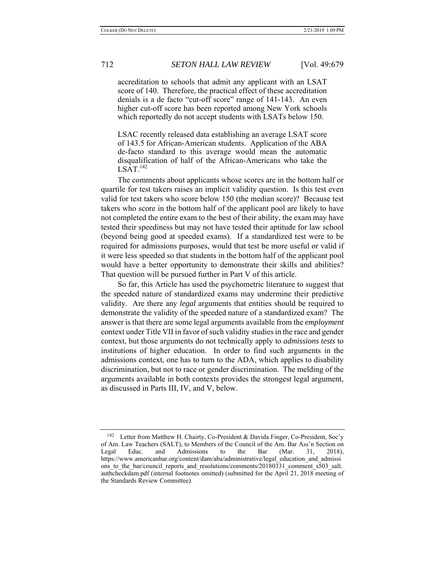accreditation to schools that admit any applicant with an LSAT score of 140. Therefore, the practical effect of these accreditation denials is a de facto "cut-off score" range of 141-143. An even higher cut-off score has been reported among New York schools which reportedly do not accept students with LSATs below 150.

LSAC recently released data establishing an average LSAT score of 143.5 for African-American students. Application of the ABA de-facto standard to this average would mean the automatic disqualification of half of the African-Americans who take the  $LSAT.<sup>142</sup>$ 

The comments about applicants whose scores are in the bottom half or quartile for test takers raises an implicit validity question. Is this test even valid for test takers who score below 150 (the median score)? Because test takers who score in the bottom half of the applicant pool are likely to have not completed the entire exam to the best of their ability, the exam may have tested their speediness but may not have tested their aptitude for law school (beyond being good at speeded exams). If a standardized test were to be required for admissions purposes, would that test be more useful or valid if it were less speeded so that students in the bottom half of the applicant pool would have a better opportunity to demonstrate their skills and abilities? That question will be pursued further in Part V of this article.

So far, this Article has used the psychometric literature to suggest that the speeded nature of standardized exams may undermine their predictive validity. Are there any *legal* arguments that entities should be required to demonstrate the validity of the speeded nature of a standardized exam? The answer is that there are some legal arguments available from the *employment* context under Title VII in favor of such validity studies in the race and gender context, but those arguments do not technically apply to *admissions tests* to institutions of higher education. In order to find such arguments in the admissions context, one has to turn to the ADA, which applies to disability discrimination, but not to race or gender discrimination. The melding of the arguments available in both contexts provides the strongest legal argument, as discussed in Parts III, IV, and V, below.

<sup>142</sup> Letter from Matthew H. Chairty, Co-President & Davida Finger, Co-President, Soc'y of Am. Law Teachers (SALT), to Members of the Council of the Am. Bar Ass'n Section on Legal Educ. and Admissions to the Bar (Mar. 31, 2018), https://www.americanbar.org/content/dam/aba/administrative/legal\_education\_and\_admissi ons to the bar/council reports and resolutions/comments/20180331 comment s503 salt. authcheckdam.pdf (internal footnotes omitted) (submitted for the April 21, 2018 meeting of the Standards Review Committee).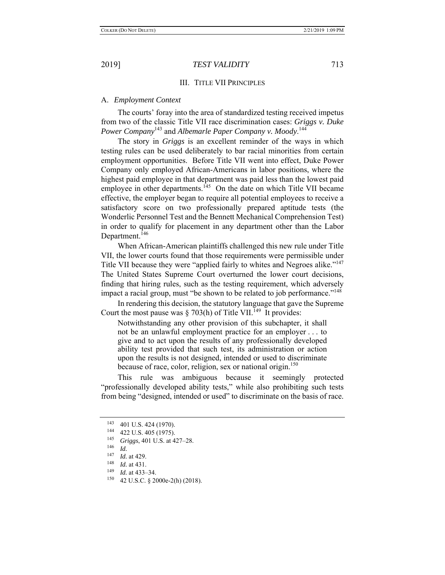## III. TITLE VII PRINCIPLES

## A. *Employment Context*

The courts' foray into the area of standardized testing received impetus from two of the classic Title VII race discrimination cases: *Griggs v. Duke Power Company*<sup>143</sup> and *Albemarle Paper Company v. Moody*. 144

The story in *Griggs* is an excellent reminder of the ways in which testing rules can be used deliberately to bar racial minorities from certain employment opportunities. Before Title VII went into effect, Duke Power Company only employed African-Americans in labor positions, where the highest paid employee in that department was paid less than the lowest paid employee in other departments.<sup>145</sup> On the date on which Title VII became effective, the employer began to require all potential employees to receive a satisfactory score on two professionally prepared aptitude tests (the Wonderlic Personnel Test and the Bennett Mechanical Comprehension Test) in order to qualify for placement in any department other than the Labor Department.<sup>146</sup>

When African-American plaintiffs challenged this new rule under Title VII, the lower courts found that those requirements were permissible under Title VII because they were "applied fairly to whites and Negroes alike."<sup>147</sup> The United States Supreme Court overturned the lower court decisions, finding that hiring rules, such as the testing requirement, which adversely impact a racial group, must "be shown to be related to job performance."<sup>148</sup>

In rendering this decision, the statutory language that gave the Supreme Court the most pause was § 703(h) of Title VII.<sup>149</sup> It provides:

Notwithstanding any other provision of this subchapter, it shall not be an unlawful employment practice for an employer . . . to give and to act upon the results of any professionally developed ability test provided that such test, its administration or action upon the results is not designed, intended or used to discriminate because of race, color, religion, sex or national origin.<sup>150</sup>

This rule was ambiguous because it seemingly protected "professionally developed ability tests," while also prohibiting such tests from being "designed, intended or used" to discriminate on the basis of race.

<sup>143 401</sup> U.S. 424 (1970). 144 422 U.S. 405 (1975).

<sup>145</sup> *Griggs*, 401 U.S. at 427–28.

<sup>146</sup>*Id.* 147 *Id.* at 429.

 $\frac{148}{149}$  *Id.* at 431.

<sup>&</sup>lt;sup>149</sup> *Id.* at 433–34.<br><sup>150</sup> *A*2 II S C 8 20

<sup>42</sup> U.S.C. § 2000e-2(h) (2018).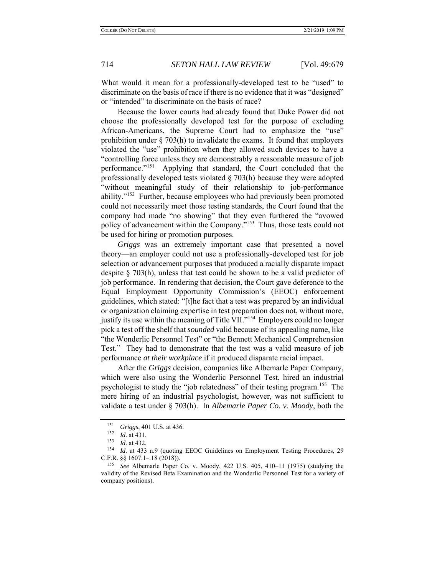What would it mean for a professionally-developed test to be "used" to discriminate on the basis of race if there is no evidence that it was "designed" or "intended" to discriminate on the basis of race?

Because the lower courts had already found that Duke Power did not choose the professionally developed test for the purpose of excluding African-Americans, the Supreme Court had to emphasize the "use" prohibition under  $\S$  703(h) to invalidate the exams. It found that employers violated the "use" prohibition when they allowed such devices to have a "controlling force unless they are demonstrably a reasonable measure of job performance."151 Applying that standard, the Court concluded that the professionally developed tests violated § 703(h) because they were adopted "without meaningful study of their relationship to job-performance ability."<sup>152</sup> Further, because employees who had previously been promoted could not necessarily meet those testing standards, the Court found that the company had made "no showing" that they even furthered the "avowed policy of advancement within the Company."<sup>153</sup> Thus, those tests could not be used for hiring or promotion purposes.

*Griggs* was an extremely important case that presented a novel theory—an employer could not use a professionally-developed test for job selection or advancement purposes that produced a racially disparate impact despite  $\S$  703(h), unless that test could be shown to be a valid predictor of job performance. In rendering that decision, the Court gave deference to the Equal Employment Opportunity Commission's (EEOC) enforcement guidelines, which stated: "[t]he fact that a test was prepared by an individual or organization claiming expertise in test preparation does not, without more, justify its use within the meaning of Title VII."<sup>154</sup> Employers could no longer pick a test off the shelf that *sounded* valid because of its appealing name, like "the Wonderlic Personnel Test" or "the Bennett Mechanical Comprehension Test." They had to demonstrate that the test was a valid measure of job performance *at their workplace* if it produced disparate racial impact.

After the *Griggs* decision, companies like Albemarle Paper Company, which were also using the Wonderlic Personnel Test, hired an industrial psychologist to study the "job relatedness" of their testing program.<sup>155</sup> The mere hiring of an industrial psychologist, however, was not sufficient to validate a test under § 703(h). In *Albemarle Paper Co. v. Moody*, both the

<sup>&</sup>lt;sup>151</sup> *Griggs*, 401 U.S. at 436.

*Id.* at 431.

<sup>153</sup> *Id.* at 432.

<sup>154</sup> *Id.* at 433 n.9 (quoting EEOC Guidelines on Employment Testing Procedures, 29 C.F.R. §§ 1607.1–.18 (2018)).

<sup>155</sup> *See* Albemarle Paper Co. v. Moody, 422 U.S. 405, 410–11 (1975) (studying the validity of the Revised Beta Examination and the Wonderlic Personnel Test for a variety of company positions).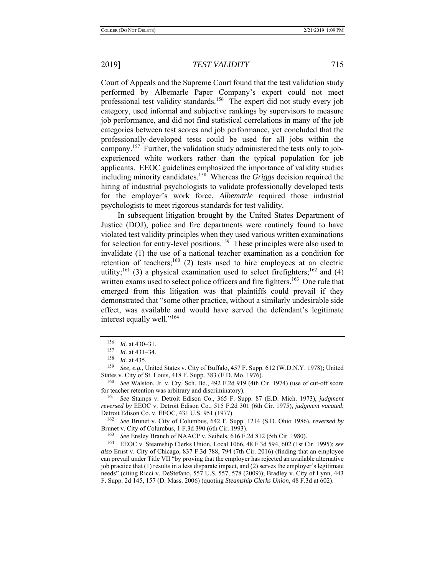Court of Appeals and the Supreme Court found that the test validation study performed by Albemarle Paper Company's expert could not meet professional test validity standards.<sup>156</sup> The expert did not study every job category, used informal and subjective rankings by supervisors to measure job performance, and did not find statistical correlations in many of the job categories between test scores and job performance, yet concluded that the professionally-developed tests could be used for all jobs within the company.<sup>157</sup> Further, the validation study administered the tests only to jobexperienced white workers rather than the typical population for job applicants. EEOC guidelines emphasized the importance of validity studies including minority candidates.158 Whereas the *Griggs* decision required the hiring of industrial psychologists to validate professionally developed tests for the employer's work force, *Albemarle* required those industrial psychologists to meet rigorous standards for test validity.

In subsequent litigation brought by the United States Department of Justice (DOJ), police and fire departments were routinely found to have violated test validity principles when they used various written examinations for selection for entry-level positions.<sup>159</sup> These principles were also used to invalidate (1) the use of a national teacher examination as a condition for retention of teachers;<sup>160</sup> (2) tests used to hire employees at an electric utility;<sup>161</sup> (3) a physical examination used to select firefighters;<sup>162</sup> and (4) written exams used to select police officers and fire fighters.<sup>163</sup> One rule that emerged from this litigation was that plaintiffs could prevail if they demonstrated that "some other practice, without a similarly undesirable side effect, was available and would have served the defendant's legitimate interest equally well."164

 $\frac{156}{157}$  *Id.* at 430–31.

*Id.* at 431–34.

<sup>&</sup>lt;sup>158</sup> *Id.* at 435.<br><sup>159</sup> See e.g. I

See, e.g., United States v. City of Buffalo, 457 F. Supp. 612 (W.D.N.Y. 1978); United States v. City of St. Louis, 418 F. Supp. 383 (E.D. Mo. 1976).

<sup>160</sup> *See* Walston, Jr. v. Cty. Sch. Bd., 492 F.2d 919 (4th Cir. 1974) (use of cut-off score for teacher retention was arbitrary and discriminatory).

<sup>161</sup> *See* Stamps v. Detroit Edison Co., 365 F. Supp. 87 (E.D. Mich. 1973), *judgment reversed by* EEOC v. Detroit Edison Co., 515 F.2d 301 (6th Cir. 1975), *judgment vacated*, Detroit Edison Co. v. EEOC, 431 U.S. 951 (1977).

<sup>162</sup> *See* Brunet v. City of Columbus, 642 F. Supp. 1214 (S.D. Ohio 1986), *reversed by*  Brunet v. City of Columbus, 1 F.3d 390 (6th Cir. 1993).<br><sup>163</sup> See Ensley Branch of NAACP v. Seibels, 616 F.2d 812 (5th Cir. 1980).

<sup>&</sup>lt;sup>164</sup> EEOC v. Steamship Clerks Union, Local 1066, 48 F.3d 594, 602 (1st Cir. 1995); see *also* Ernst v. City of Chicago, 837 F.3d 788, 794 (7th Cir. 2016) (finding that an employee can prevail under Title VII "by proving that the employer has rejected an available alternative job practice that (1) results in a less disparate impact, and (2) serves the employer's legitimate needs" (citing Ricci v. DeStefano, 557 U.S. 557, 578 (2009)); Bradley v. City of Lynn, 443 F. Supp. 2d 145, 157 (D. Mass. 2006) (quoting *Steamship Clerks Union*, 48 F.3d at 602).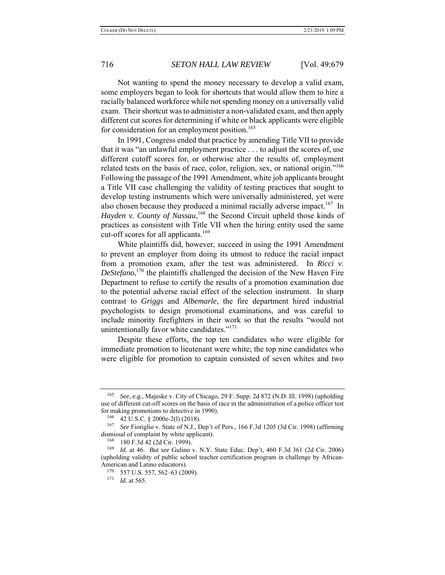Not wanting to spend the money necessary to develop a valid exam, some employers began to look for shortcuts that would allow them to hire a racially balanced workforce while not spending money on a universally valid exam. Their shortcut was to administer a non-validated exam, and then apply different cut scores for determining if white or black applicants were eligible for consideration for an employment position.<sup>165</sup>

In 1991, Congress ended that practice by amending Title VII to provide that it was "an unlawful employment practice . . . to adjust the scores of, use different cutoff scores for, or otherwise alter the results of, employment related tests on the basis of race, color, religion, sex, or national origin."<sup>166</sup> Following the passage of the 1991 Amendment, white job applicants brought a Title VII case challenging the validity of testing practices that sought to develop testing instruments which were universally administered, yet were also chosen because they produced a minimal racially adverse impact.<sup>167</sup> In Hayden v. County of Nassau,<sup>168</sup> the Second Circuit upheld those kinds of practices as consistent with Title VII when the hiring entity used the same cut-off scores for all applicants.<sup>169</sup>

White plaintiffs did, however, succeed in using the 1991 Amendment to prevent an employer from doing its utmost to reduce the racial impact from a promotion exam, after the test was administered. In *Ricci v. DeStefano*, <sup>170</sup> the plaintiffs challenged the decision of the New Haven Fire Department to refuse to certify the results of a promotion examination due to the potential adverse racial effect of the selection instrument. In sharp contrast to *Griggs* and *Albemarle*, the fire department hired industrial psychologists to design promotional examinations, and was careful to include minority firefighters in their work so that the results "would not unintentionally favor white candidates."<sup>171</sup>

Despite these efforts, the top ten candidates who were eligible for immediate promotion to lieutenant were white; the top nine candidates who were eligible for promotion to captain consisted of seven whites and two

<sup>165</sup> *See, e.g.*, Majeske v. City of Chicago, 29 F. Supp. 2d 872 (N.D. Ill. 1998) (upholding use of different cut-off scores on the basis of race in the administration of a police officer test for making promotions to detective in 1990).

<sup>166 42</sup> U.S.C. § 2000e-2(l) (2018).

<sup>167</sup> *See* Fioriglio v. State of N.J., Dep't of Pers., 166 F.3d 1205 (3d Cir. 1998) (affirming dismissal of complaint by white applicant).

 $^{168}$  180 F.3d 42 (2d Cir. 1999).

*Id.* at 46. *But see* Gulino v. N.Y. State Educ. Dep't, 460 F.3d 361 (2d Cir. 2006) (upholding validity of public school teacher certification program in challenge by African-American and Latino educators).<br> $\frac{170}{557} = 557.562.62.00$ 

 $^{170}$  557 U.S. 557, 562–63 (2009).<br> $^{171}$  *Id at* 565

*Id.* at 565.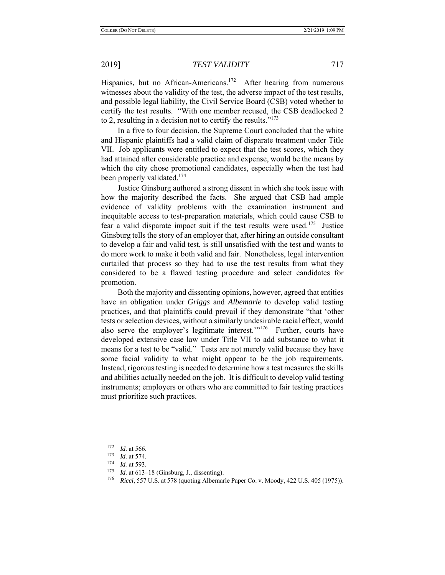Hispanics, but no African-Americans.<sup>172</sup> After hearing from numerous witnesses about the validity of the test, the adverse impact of the test results, and possible legal liability, the Civil Service Board (CSB) voted whether to certify the test results. "With one member recused, the CSB deadlocked 2 to 2, resulting in a decision not to certify the results." $173$ 

In a five to four decision, the Supreme Court concluded that the white and Hispanic plaintiffs had a valid claim of disparate treatment under Title VII. Job applicants were entitled to expect that the test scores, which they had attained after considerable practice and expense, would be the means by which the city chose promotional candidates, especially when the test had been properly validated.<sup>174</sup>

Justice Ginsburg authored a strong dissent in which she took issue with how the majority described the facts. She argued that CSB had ample evidence of validity problems with the examination instrument and inequitable access to test-preparation materials, which could cause CSB to fear a valid disparate impact suit if the test results were used.<sup>175</sup> Justice Ginsburg tells the story of an employer that, after hiring an outside consultant to develop a fair and valid test, is still unsatisfied with the test and wants to do more work to make it both valid and fair. Nonetheless, legal intervention curtailed that process so they had to use the test results from what they considered to be a flawed testing procedure and select candidates for promotion.

Both the majority and dissenting opinions, however, agreed that entities have an obligation under *Griggs* and *Albemarle* to develop valid testing practices, and that plaintiffs could prevail if they demonstrate "that 'other tests or selection devices, without a similarly undesirable racial effect, would also serve the employer's legitimate interest. $1/176$  Further, courts have developed extensive case law under Title VII to add substance to what it means for a test to be "valid." Tests are not merely valid because they have some facial validity to what might appear to be the job requirements. Instead, rigorous testing is needed to determine how a test measures the skills and abilities actually needed on the job. It is difficult to develop valid testing instruments; employers or others who are committed to fair testing practices must prioritize such practices.

 $\frac{172}{173}$  *Id.* at 566.

*Id.* at 574.

 $\frac{174}{175}$  *Id.* at 593.

*Id.* at 613–18 (Ginsburg, J., dissenting).

<sup>176</sup> *Ricci*, 557 U.S. at 578 (quoting Albemarle Paper Co. v. Moody, 422 U.S. 405 (1975)).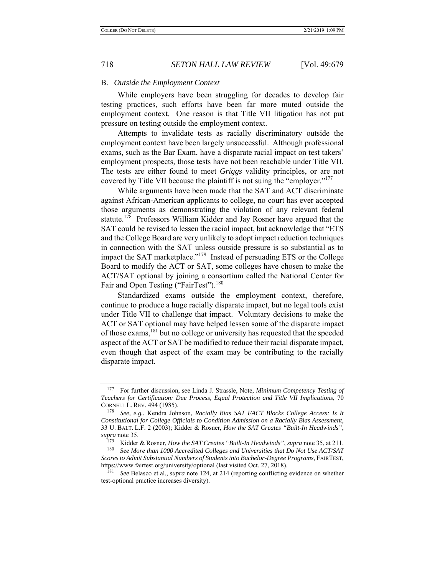### B. *Outside the Employment Context*

While employers have been struggling for decades to develop fair testing practices, such efforts have been far more muted outside the employment context. One reason is that Title VII litigation has not put pressure on testing outside the employment context.

Attempts to invalidate tests as racially discriminatory outside the employment context have been largely unsuccessful. Although professional exams, such as the Bar Exam, have a disparate racial impact on test takers' employment prospects, those tests have not been reachable under Title VII. The tests are either found to meet *Griggs* validity principles, or are not covered by Title VII because the plaintiff is not suing the "employer."<sup>177</sup>

While arguments have been made that the SAT and ACT discriminate against African-American applicants to college, no court has ever accepted those arguments as demonstrating the violation of any relevant federal statute.<sup>178</sup> Professors William Kidder and Jay Rosner have argued that the SAT could be revised to lessen the racial impact, but acknowledge that "ETS and the College Board are very unlikely to adopt impact reduction techniques in connection with the SAT unless outside pressure is so substantial as to impact the SAT marketplace."<sup>179</sup> Instead of persuading ETS or the College Board to modify the ACT or SAT, some colleges have chosen to make the ACT/SAT optional by joining a consortium called the National Center for Fair and Open Testing ("FairTest").<sup>180</sup>

Standardized exams outside the employment context, therefore, continue to produce a huge racially disparate impact, but no legal tools exist under Title VII to challenge that impact. Voluntary decisions to make the ACT or SAT optional may have helped lessen some of the disparate impact of those exams,<sup>181</sup> but no college or university has requested that the speeded aspect of the ACT or SAT be modified to reduce their racial disparate impact, even though that aspect of the exam may be contributing to the racially disparate impact.

<sup>177</sup> For further discussion, see Linda J. Strassle, Note, *Minimum Competency Testing of Teachers for Certification: Due Process, Equal Protection and Title VII Implications*, 70 CORNELL L. REV. 494 (1985).

<sup>178</sup> *See, e.g.*, Kendra Johnson, *Racially Bias SAT I/ACT Blocks College Access: Is It Constitutional for College Officials to Condition Admission on a Racially Bias Assessment*, 33 U. BALT. L.F. 2 (2003); Kidder & Rosner, *How the SAT Creates "Built-In Headwinds"*, *supra* note 35.

<sup>179</sup> Kidder & Rosner, *How the SAT Creates "Built-In Headwinds"*, *supra* note 35, at 211.

See More than 1000 Accredited Colleges and Universities that Do Not Use ACT/SAT *Scores to Admit Substantial Numbers of Students into Bachelor-Degree Programs*, FAIRTEST, https://www.fairtest.org/university/optional (last visited Oct. 27, 2018).

<sup>181</sup> *See* Belasco et al., *supra* note 124, at 214 (reporting conflicting evidence on whether test-optional practice increases diversity).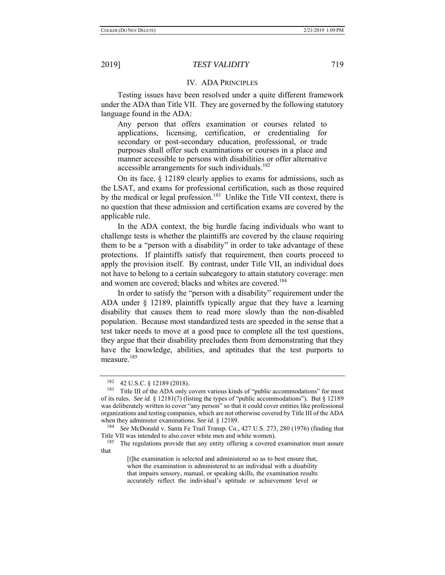### IV. ADA PRINCIPLES

Testing issues have been resolved under a quite different framework under the ADA than Title VII. They are governed by the following statutory language found in the ADA:

Any person that offers examination or courses related to applications, licensing, certification, or credentialing for secondary or post-secondary education, professional, or trade purposes shall offer such examinations or courses in a place and manner accessible to persons with disabilities or offer alternative accessible arrangements for such individuals.<sup>182</sup>

On its face, § 12189 clearly applies to exams for admissions, such as the LSAT, and exams for professional certification, such as those required by the medical or legal profession.<sup>183</sup> Unlike the Title VII context, there is no question that these admission and certification exams are covered by the applicable rule.

In the ADA context, the big hurdle facing individuals who want to challenge tests is whether the plaintiffs are covered by the clause requiring them to be a "person with a disability" in order to take advantage of these protections. If plaintiffs satisfy that requirement, then courts proceed to apply the provision itself. By contrast, under Title VII, an individual does not have to belong to a certain subcategory to attain statutory coverage: men and women are covered; blacks and whites are covered.<sup>184</sup>

In order to satisfy the "person with a disability" requirement under the ADA under § 12189, plaintiffs typically argue that they have a learning disability that causes them to read more slowly than the non-disabled population. Because most standardized tests are speeded in the sense that a test taker needs to move at a good pace to complete all the test questions, they argue that their disability precludes them from demonstrating that they have the knowledge, abilities, and aptitudes that the test purports to measure.<sup>185</sup>

<sup>&</sup>lt;sup>182</sup> 42 U.S.C. § 12189 (2018).<br><sup>183</sup> Title III of the ADA only 0

Title III of the ADA only covers various kinds of "public accommodations" for most of its rules. *See id.* § 12181(7) (listing the types of "public accommodations")*.* But § 12189 was deliberately written to cover "any person" so that it could cover entities like professional organizations and testing companies, which are not otherwise covered by Title III of the ADA when they administer examinations. *See id.* § 12189.

See McDonald v. Santa Fe Trail Transp. Co., 427 U.S. 273, 280 (1976) (finding that Title VII was intended to also cover white men and white women).<br><sup>185</sup> The requlations provide that any entity offering a covered

The regulations provide that any entity offering a covered examination must assure that

<sup>[</sup>t]he examination is selected and administered so as to best ensure that, when the examination is administered to an individual with a disability that impairs sensory, manual, or speaking skills, the examination results accurately reflect the individual's aptitude or achievement level or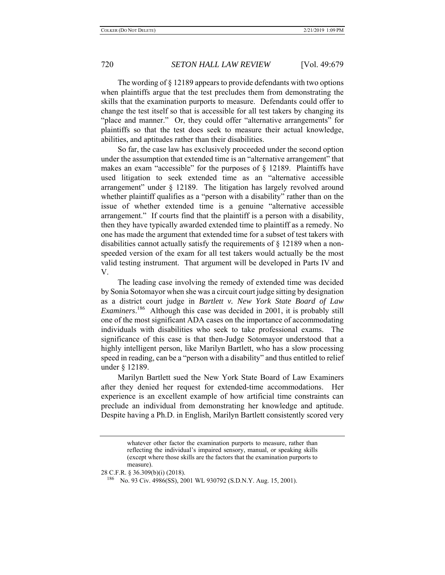The wording of § 12189 appears to provide defendants with two options when plaintiffs argue that the test precludes them from demonstrating the skills that the examination purports to measure. Defendants could offer to change the test itself so that is accessible for all test takers by changing its "place and manner." Or, they could offer "alternative arrangements" for plaintiffs so that the test does seek to measure their actual knowledge, abilities, and aptitudes rather than their disabilities.

So far, the case law has exclusively proceeded under the second option under the assumption that extended time is an "alternative arrangement" that makes an exam "accessible" for the purposes of § 12189. Plaintiffs have used litigation to seek extended time as an "alternative accessible arrangement" under § 12189. The litigation has largely revolved around whether plaintiff qualifies as a "person with a disability" rather than on the issue of whether extended time is a genuine "alternative accessible arrangement." If courts find that the plaintiff is a person with a disability, then they have typically awarded extended time to plaintiff as a remedy. No one has made the argument that extended time for a subset of test takers with disabilities cannot actually satisfy the requirements of § 12189 when a nonspeeded version of the exam for all test takers would actually be the most valid testing instrument. That argument will be developed in Parts IV and V.

The leading case involving the remedy of extended time was decided by Sonia Sotomayor when she was a circuit court judge sitting by designation as a district court judge in *Bartlett v. New York State Board of Law Examiners*. 186 Although this case was decided in 2001, it is probably still one of the most significant ADA cases on the importance of accommodating individuals with disabilities who seek to take professional exams. The significance of this case is that then-Judge Sotomayor understood that a highly intelligent person, like Marilyn Bartlett, who has a slow processing speed in reading, can be a "person with a disability" and thus entitled to relief under § 12189.

Marilyn Bartlett sued the New York State Board of Law Examiners after they denied her request for extended-time accommodations. Her experience is an excellent example of how artificial time constraints can preclude an individual from demonstrating her knowledge and aptitude. Despite having a Ph.D. in English, Marilyn Bartlett consistently scored very

whatever other factor the examination purports to measure, rather than reflecting the individual's impaired sensory, manual, or speaking skills (except where those skills are the factors that the examination purports to measure).

<sup>28</sup> C.F.R. § 36.309(b)(i) (2018).

<sup>186</sup> No. 93 Civ. 4986(SS), 2001 WL 930792 (S.D.N.Y. Aug. 15, 2001).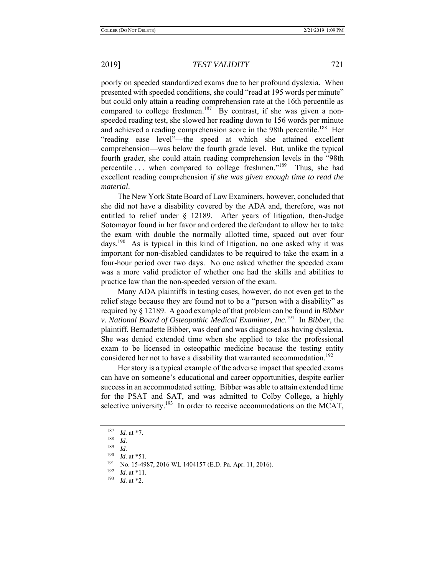poorly on speeded standardized exams due to her profound dyslexia. When presented with speeded conditions, she could "read at 195 words per minute" but could only attain a reading comprehension rate at the 16th percentile as compared to college freshmen.<sup>187</sup> By contrast, if she was given a nonspeeded reading test, she slowed her reading down to 156 words per minute and achieved a reading comprehension score in the 98th percentile.<sup>188</sup> Her "reading ease level"—the speed at which she attained excellent comprehension—was below the fourth grade level. But, unlike the typical fourth grader, she could attain reading comprehension levels in the "98th percentile ... when compared to college freshmen."<sup>189</sup> Thus, she had excellent reading comprehension *if she was given enough time to read the material*.

The New York State Board of Law Examiners, however, concluded that she did not have a disability covered by the ADA and, therefore, was not entitled to relief under § 12189. After years of litigation, then-Judge Sotomayor found in her favor and ordered the defendant to allow her to take the exam with double the normally allotted time, spaced out over four days.<sup>190</sup> As is typical in this kind of litigation, no one asked why it was important for non-disabled candidates to be required to take the exam in a four-hour period over two days. No one asked whether the speeded exam was a more valid predictor of whether one had the skills and abilities to practice law than the non-speeded version of the exam.

Many ADA plaintiffs in testing cases, however, do not even get to the relief stage because they are found not to be a "person with a disability" as required by § 12189. A good example of that problem can be found in *Bibber v. National Board of Osteopathic Medical Examiner, Inc*. 191 In *Bibber*, the plaintiff, Bernadette Bibber, was deaf and was diagnosed as having dyslexia. She was denied extended time when she applied to take the professional exam to be licensed in osteopathic medicine because the testing entity considered her not to have a disability that warranted accommodation.<sup>192</sup>

Her story is a typical example of the adverse impact that speeded exams can have on someone's educational and career opportunities, despite earlier success in an accommodated setting. Bibber was able to attain extended time for the PSAT and SAT, and was admitted to Colby College, a highly selective university.<sup>193</sup> In order to receive accommodations on the MCAT,

 $\frac{187}{188}$  *Id.* at \*7.

 $\frac{188}{189}$  *Id.* 

 $\frac{189}{190}$  *Id.* 

*Id.* at \*51.

<sup>191</sup> No. 15-4987, 2016 WL 1404157 (E.D. Pa. Apr. 11, 2016).<br>192 Id. ot \*11.

 $\frac{192}{193}$  *Id.* at \*11.

*Id.* at \*2.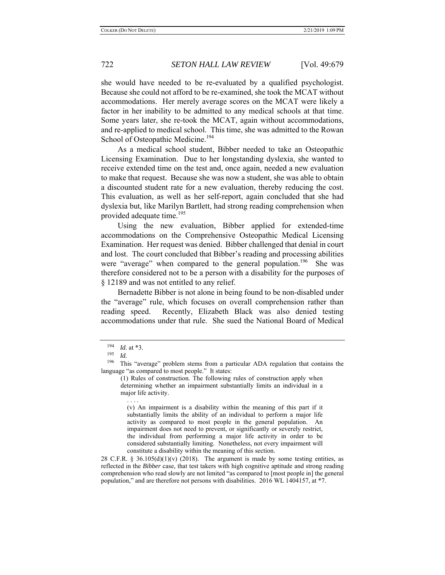she would have needed to be re-evaluated by a qualified psychologist. Because she could not afford to be re-examined, she took the MCAT without accommodations. Her merely average scores on the MCAT were likely a factor in her inability to be admitted to any medical schools at that time. Some years later, she re-took the MCAT, again without accommodations, and re-applied to medical school. This time, she was admitted to the Rowan School of Osteopathic Medicine.<sup>194</sup>

As a medical school student, Bibber needed to take an Osteopathic Licensing Examination. Due to her longstanding dyslexia, she wanted to receive extended time on the test and, once again, needed a new evaluation to make that request. Because she was now a student, she was able to obtain a discounted student rate for a new evaluation, thereby reducing the cost. This evaluation, as well as her self-report, again concluded that she had dyslexia but, like Marilyn Bartlett, had strong reading comprehension when provided adequate time.<sup>195</sup>

Using the new evaluation, Bibber applied for extended-time accommodations on the Comprehensive Osteopathic Medical Licensing Examination. Her request was denied. Bibber challenged that denial in court and lost. The court concluded that Bibber's reading and processing abilities were "average" when compared to the general population.<sup>196</sup> She was therefore considered not to be a person with a disability for the purposes of § 12189 and was not entitled to any relief.

Bernadette Bibber is not alone in being found to be non-disabled under the "average" rule, which focuses on overall comprehension rather than reading speed. Recently, Elizabeth Black was also denied testing accommodations under that rule. She sued the National Board of Medical

. . . .

(v) An impairment is a disability within the meaning of this part if it substantially limits the ability of an individual to perform a major life activity as compared to most people in the general population. An impairment does not need to prevent, or significantly or severely restrict, the individual from performing a major life activity in order to be considered substantially limiting. Nonetheless, not every impairment will constitute a disability within the meaning of this section.

28 C.F.R. § 36.105(d)(1)(v) (2018). The argument is made by some testing entities, as reflected in the *Bibber* case, that test takers with high cognitive aptitude and strong reading comprehension who read slowly are not limited "as compared to [most people in] the general population," and are therefore not persons with disabilities. 2016 WL 1404157, at \*7.

 $\frac{194}{195}$  *Id.* at \*3.

 $\frac{195}{196}$  *Id.* 

This "average" problem stems from a particular ADA regulation that contains the language "as compared to most people." It states:

<sup>(1)</sup> Rules of construction. The following rules of construction apply when determining whether an impairment substantially limits an individual in a major life activity.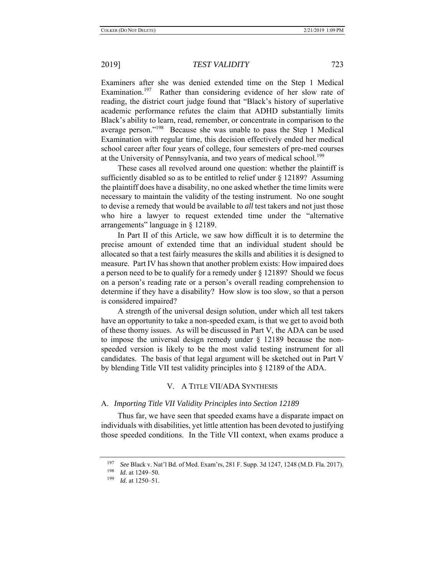Examiners after she was denied extended time on the Step 1 Medical Examination.<sup>197</sup> Rather than considering evidence of her slow rate of reading, the district court judge found that "Black's history of superlative academic performance refutes the claim that ADHD substantially limits Black's ability to learn, read, remember, or concentrate in comparison to the average person."198 Because she was unable to pass the Step 1 Medical Examination with regular time, this decision effectively ended her medical school career after four years of college, four semesters of pre-med courses at the University of Pennsylvania, and two years of medical school.<sup>199</sup>

These cases all revolved around one question: whether the plaintiff is sufficiently disabled so as to be entitled to relief under § 12189? Assuming the plaintiff does have a disability, no one asked whether the time limits were necessary to maintain the validity of the testing instrument. No one sought to devise a remedy that would be available to *all* test takers and not just those who hire a lawyer to request extended time under the "alternative arrangements" language in § 12189.

In Part II of this Article, we saw how difficult it is to determine the precise amount of extended time that an individual student should be allocated so that a test fairly measures the skills and abilities it is designed to measure. Part IV has shown that another problem exists: How impaired does a person need to be to qualify for a remedy under § 12189? Should we focus on a person's reading rate or a person's overall reading comprehension to determine if they have a disability? How slow is too slow, so that a person is considered impaired?

A strength of the universal design solution, under which all test takers have an opportunity to take a non-speeded exam, is that we get to avoid both of these thorny issues. As will be discussed in Part V, the ADA can be used to impose the universal design remedy under § 12189 because the nonspeeded version is likely to be the most valid testing instrument for all candidates. The basis of that legal argument will be sketched out in Part V by blending Title VII test validity principles into § 12189 of the ADA.

### V. A TITLE VII/ADA SYNTHESIS

### A. *Importing Title VII Validity Principles into Section 12189*

Thus far, we have seen that speeded exams have a disparate impact on individuals with disabilities, yet little attention has been devoted to justifying those speeded conditions. In the Title VII context, when exams produce a

<sup>&</sup>lt;sup>197</sup> *See Black v. Nat'l Bd. of Med. Exam'rs, 281 F. Supp. 3d 1247, 1248 (M.D. Fla. 2017).*<br><sup>198</sup> *M* + 1249 50

 $\frac{198}{199}$  *Id.* at 1249–50.

*Id.* at 1250–51.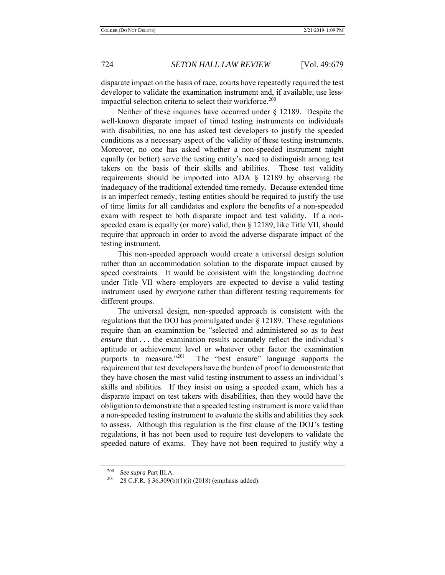disparate impact on the basis of race, courts have repeatedly required the test developer to validate the examination instrument and, if available, use lessimpactful selection criteria to select their workforce.<sup>200</sup>

Neither of these inquiries have occurred under § 12189. Despite the well-known disparate impact of timed testing instruments on individuals with disabilities, no one has asked test developers to justify the speeded conditions as a necessary aspect of the validity of these testing instruments. Moreover, no one has asked whether a non-speeded instrument might equally (or better) serve the testing entity's need to distinguish among test takers on the basis of their skills and abilities. Those test validity requirements should be imported into ADA § 12189 by observing the inadequacy of the traditional extended time remedy. Because extended time is an imperfect remedy, testing entities should be required to justify the use of time limits for all candidates and explore the benefits of a non-speeded exam with respect to both disparate impact and test validity. If a nonspeeded exam is equally (or more) valid, then § 12189, like Title VII, should require that approach in order to avoid the adverse disparate impact of the testing instrument.

This non-speeded approach would create a universal design solution rather than an accommodation solution to the disparate impact caused by speed constraints. It would be consistent with the longstanding doctrine under Title VII where employers are expected to devise a valid testing instrument used by *everyone* rather than different testing requirements for different groups.

The universal design, non-speeded approach is consistent with the regulations that the DOJ has promulgated under § 12189. These regulations require than an examination be "selected and administered so as to *best ensure* that . . . the examination results accurately reflect the individual's aptitude or achievement level or whatever other factor the examination purports to measure."<sup>201</sup> The "best ensure" language supports the requirement that test developers have the burden of proof to demonstrate that they have chosen the most valid testing instrument to assess an individual's skills and abilities. If they insist on using a speeded exam, which has a disparate impact on test takers with disabilities, then they would have the obligation to demonstrate that a speeded testing instrument is more valid than a non-speeded testing instrument to evaluate the skills and abilities they seek to assess. Although this regulation is the first clause of the DOJ's testing regulations, it has not been used to require test developers to validate the speeded nature of exams. They have not been required to justify why a

<sup>&</sup>lt;sup>200</sup> *See supra* Part III.A.<br><sup>201</sup> 28 C E R 8 36 3090

<sup>28</sup> C.F.R. § 36.309(b)(1)(i) (2018) (emphasis added).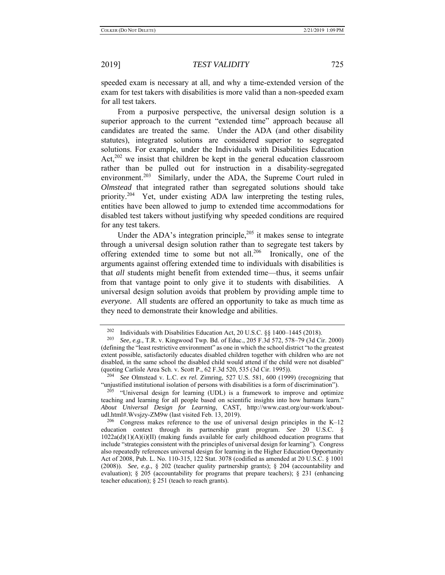speeded exam is necessary at all, and why a time-extended version of the exam for test takers with disabilities is more valid than a non-speeded exam for all test takers.

From a purposive perspective, the universal design solution is a superior approach to the current "extended time" approach because all candidates are treated the same. Under the ADA (and other disability statutes), integrated solutions are considered superior to segregated solutions. For example, under the Individuals with Disabilities Education Act,<sup>202</sup> we insist that children be kept in the general education classroom rather than be pulled out for instruction in a disability-segregated environment.<sup>203</sup> Similarly, under the ADA, the Supreme Court ruled in *Olmstead* that integrated rather than segregated solutions should take priority.<sup>204</sup> Yet, under existing ADA law interpreting the testing rules, entities have been allowed to jump to extended time accommodations for disabled test takers without justifying why speeded conditions are required for any test takers.

Under the ADA's integration principle, $2^{05}$  it makes sense to integrate through a universal design solution rather than to segregate test takers by offering extended time to some but not all.<sup>206</sup> Ironically, one of the arguments against offering extended time to individuals with disabilities is that *all* students might benefit from extended time—thus, it seems unfair from that vantage point to only give it to students with disabilities. A universal design solution avoids that problem by providing ample time to *everyone*. All students are offered an opportunity to take as much time as they need to demonstrate their knowledge and abilities.

 $205$  "Universal design for learning (UDL) is a framework to improve and optimize teaching and learning for all people based on scientific insights into how humans learn." *About Universal Design for Learning*, CAST, http://www.cast.org/our-work/aboutudl.html#.Wvsjzy-ZM9w (last visited Feb. 13, 2019).

<sup>202</sup> Individuals with Disabilities Education Act, 20 U.S.C. §§ 1400–1445 (2018).

<sup>203</sup> *See, e.g.*, T.R. v. Kingwood Twp. Bd. of Educ., 205 F.3d 572, 578–79 (3d Cir. 2000) (defining the "least restrictive environment" as one in which the school district "to the greatest extent possible, satisfactorily educates disabled children together with children who are not disabled, in the same school the disabled child would attend if the child were not disabled" (quoting Carlisle Area Sch. v. Scott P., 62 F.3d 520, 535 (3d Cir. 1995)).

<sup>204</sup> *See* Olmstead v. L.C. *ex rel.* Zimring, 527 U.S. 581, 600 (1999) (recognizing that "unjustified institutional isolation of persons with disabilities is a form of discrimination").

<sup>&</sup>lt;sup>206</sup> Congress makes reference to the use of universal design principles in the K–12 education context through its partnership grant program. *See* 20 U.S.C. § 1022a(d)(1)(A)(i)(II) (making funds available for early childhood education programs that include "strategies consistent with the principles of universal design for learning"). Congress also repeatedly references universal design for learning in the Higher Education Opportunity Act of 2008, Pub. L. No. 110-315, 122 Stat. 3078 (codified as amended at 20 U.S.C. § 1001 (2008)). *See, e.g.*, § 202 (teacher quality partnership grants); § 204 (accountability and evaluation);  $\S 205$  (accountability for programs that prepare teachers);  $\S 231$  (enhancing teacher education); § 251 (teach to reach grants).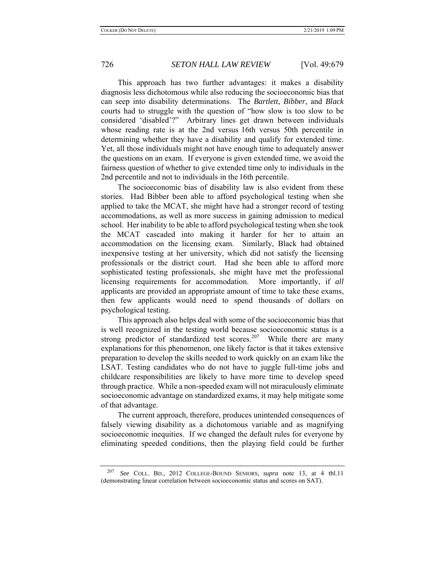This approach has two further advantages: it makes a disability diagnosis less dichotomous while also reducing the socioeconomic bias that can seep into disability determinations. The *Bartlett*, *Bibber*, and *Black* courts had to struggle with the question of "how slow is too slow to be considered 'disabled'?" Arbitrary lines get drawn between individuals whose reading rate is at the 2nd versus 16th versus 50th percentile in determining whether they have a disability and qualify for extended time. Yet, all those individuals might not have enough time to adequately answer the questions on an exam. If everyone is given extended time, we avoid the fairness question of whether to give extended time only to individuals in the 2nd percentile and not to individuals in the 16th percentile.

The socioeconomic bias of disability law is also evident from these stories. Had Bibber been able to afford psychological testing when she applied to take the MCAT, she might have had a stronger record of testing accommodations, as well as more success in gaining admission to medical school. Her inability to be able to afford psychological testing when she took the MCAT cascaded into making it harder for her to attain an accommodation on the licensing exam. Similarly, Black had obtained inexpensive testing at her university, which did not satisfy the licensing professionals or the district court. Had she been able to afford more sophisticated testing professionals, she might have met the professional licensing requirements for accommodation. More importantly, if *all*  applicants are provided an appropriate amount of time to take these exams, then few applicants would need to spend thousands of dollars on psychological testing.

This approach also helps deal with some of the socioeconomic bias that is well recognized in the testing world because socioeconomic status is a strong predictor of standardized test scores.<sup>207</sup> While there are many explanations for this phenomenon, one likely factor is that it takes extensive preparation to develop the skills needed to work quickly on an exam like the LSAT. Testing candidates who do not have to juggle full-time jobs and childcare responsibilities are likely to have more time to develop speed through practice. While a non-speeded exam will not miraculously eliminate socioeconomic advantage on standardized exams, it may help mitigate some of that advantage.

The current approach, therefore, produces unintended consequences of falsely viewing disability as a dichotomous variable and as magnifying socioeconomic inequities. If we changed the default rules for everyone by eliminating speeded conditions, then the playing field could be further

<sup>207</sup> *See* COLL. BD., 2012 COLLEGE-BOUND SENIORS, *supra* note 13, at 4 tbl.11 (demonstrating linear correlation between socioeconomic status and scores on SAT).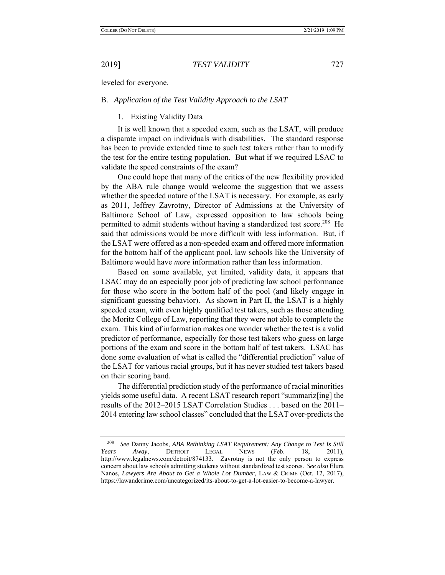leveled for everyone.

### B. *Application of the Test Validity Approach to the LSAT*

1. Existing Validity Data

It is well known that a speeded exam, such as the LSAT, will produce a disparate impact on individuals with disabilities. The standard response has been to provide extended time to such test takers rather than to modify the test for the entire testing population. But what if we required LSAC to validate the speed constraints of the exam?

One could hope that many of the critics of the new flexibility provided by the ABA rule change would welcome the suggestion that we assess whether the speeded nature of the LSAT is necessary. For example, as early as 2011, Jeffrey Zavrotny, Director of Admissions at the University of Baltimore School of Law, expressed opposition to law schools being permitted to admit students without having a standardized test score.<sup>208</sup> He said that admissions would be more difficult with less information. But, if the LSAT were offered as a non-speeded exam and offered more information for the bottom half of the applicant pool, law schools like the University of Baltimore would have *more* information rather than less information.

Based on some available, yet limited, validity data, it appears that LSAC may do an especially poor job of predicting law school performance for those who score in the bottom half of the pool (and likely engage in significant guessing behavior). As shown in Part II, the LSAT is a highly speeded exam, with even highly qualified test takers, such as those attending the Moritz College of Law, reporting that they were not able to complete the exam. This kind of information makes one wonder whether the test is a valid predictor of performance, especially for those test takers who guess on large portions of the exam and score in the bottom half of test takers. LSAC has done some evaluation of what is called the "differential prediction" value of the LSAT for various racial groups, but it has never studied test takers based on their scoring band.

The differential prediction study of the performance of racial minorities yields some useful data. A recent LSAT research report "summariz[ing] the results of the 2012–2015 LSAT Correlation Studies . . . based on the 2011– 2014 entering law school classes" concluded that the LSAT over-predicts the

<sup>208</sup> *See* Danny Jacobs, *ABA Rethinking LSAT Requirement: Any Change to Test Is Still Years Away*, DETROIT LEGAL NEWS (Feb. 18, 2011), http://www.legalnews.com/detroit/874133. Zavrotny is not the only person to express concern about law schools admitting students without standardized test scores. *See also* Elura Nanos, *Lawyers Are About to Get a Whole Lot Dumber*, LAW & CRIME (Oct. 12, 2017), https://lawandcrime.com/uncategorized/its-about-to-get-a-lot-easier-to-become-a-lawyer.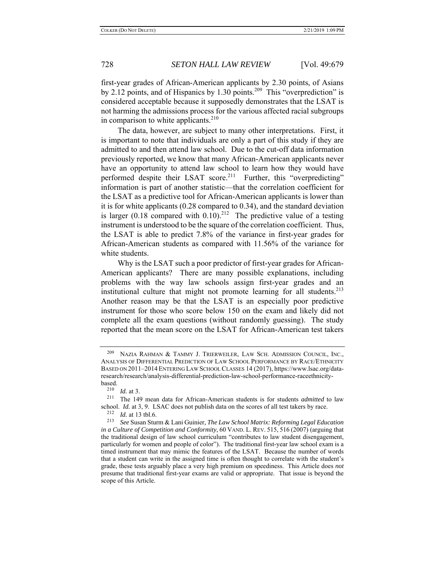first-year grades of African-American applicants by 2.30 points, of Asians by 2.12 points, and of Hispanics by 1.30 points.<sup>209</sup> This "overprediction" is considered acceptable because it supposedly demonstrates that the LSAT is not harming the admissions process for the various affected racial subgroups in comparison to white applicants.<sup>210</sup>

The data, however, are subject to many other interpretations. First, it is important to note that individuals are only a part of this study if they are admitted to and then attend law school. Due to the cut-off data information previously reported, we know that many African-American applicants never have an opportunity to attend law school to learn how they would have performed despite their LSAT score.<sup>211</sup> Further, this "overpredicting" information is part of another statistic—that the correlation coefficient for the LSAT as a predictive tool for African-American applicants is lower than it is for white applicants (0.28 compared to 0.34), and the standard deviation is larger (0.18 compared with 0.10).<sup>212</sup> The predictive value of a testing instrument is understood to be the square of the correlation coefficient. Thus, the LSAT is able to predict 7.8% of the variance in first-year grades for African-American students as compared with 11.56% of the variance for white students.

Why is the LSAT such a poor predictor of first-year grades for African-American applicants? There are many possible explanations, including problems with the way law schools assign first-year grades and an institutional culture that might not promote learning for all students.<sup>213</sup> Another reason may be that the LSAT is an especially poor predictive instrument for those who score below 150 on the exam and likely did not complete all the exam questions (without randomly guessing). The study reported that the mean score on the LSAT for African-American test takers

<sup>&</sup>lt;sup>209</sup> NAZIA RAHMAN & TAMMY J. TRIERWEILER, LAW SCH. ADMISSION COUNCIL, INC., ANALYSIS OF DIFFERENTIAL PREDICTION OF LAW SCHOOL PERFORMANCE BY RACE/ETHNICITY BASED ON 2011–2014 ENTERING LAW SCHOOL CLASSES 14 (2017), https://www.lsac.org/dataresearch/research/analysis-differential-prediction-law-school-performance-raceethnicitybased.<br><sup>210</sup> *Id.* at 3.

<sup>&</sup>lt;sup>211</sup> The 149 mean data for African-American students is for students *admitted* to law school. *Id.* at 3, 9. LSAC does not publish data on the scores of all test takers by race.<br><sup>212</sup> *Id.* at 13 tbl.6.<br><sup>213</sup> See Susan Sturm & Lani Guinier. The Law School Matrix: Reforming Legal Educ

<sup>213</sup> *See* Susan Sturm & Lani Guinier*, The Law School Matrix: Reforming Legal Education in a Culture of Competition and Conformity*, 60 VAND. L. REV. 515, 516 (2007) (arguing that the traditional design of law school curriculum "contributes to law student disengagement, particularly for women and people of color"). The traditional first-year law school exam is a timed instrument that may mimic the features of the LSAT. Because the number of words that a student can write in the assigned time is often thought to correlate with the student's grade, these tests arguably place a very high premium on speediness. This Article does *not* presume that traditional first-year exams are valid or appropriate. That issue is beyond the scope of this Article.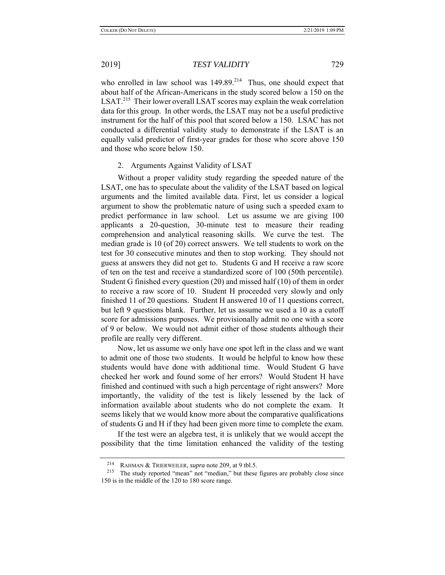who enrolled in law school was  $149.89^{214}$  Thus, one should expect that about half of the African-Americans in the study scored below a 150 on the LSAT.<sup>215</sup> Their lower overall LSAT scores may explain the weak correlation data for this group. In other words, the LSAT may not be a useful predictive instrument for the half of this pool that scored below a 150. LSAC has not conducted a differential validity study to demonstrate if the LSAT is an equally valid predictor of first-year grades for those who score above 150 and those who score below 150.

## 2. Arguments Against Validity of LSAT

Without a proper validity study regarding the speeded nature of the LSAT, one has to speculate about the validity of the LSAT based on logical arguments and the limited available data. First, let us consider a logical argument to show the problematic nature of using such a speeded exam to predict performance in law school. Let us assume we are giving 100 applicants a 20-question, 30-minute test to measure their reading comprehension and analytical reasoning skills. We curve the test. The median grade is 10 (of 20) correct answers. We tell students to work on the test for 30 consecutive minutes and then to stop working. They should not guess at answers they did not get to. Students G and H receive a raw score of ten on the test and receive a standardized score of 100 (50th percentile). Student G finished every question (20) and missed half (10) of them in order to receive a raw score of 10. Student H proceeded very slowly and only finished 11 of 20 questions. Student H answered 10 of 11 questions correct, but left 9 questions blank. Further, let us assume we used a 10 as a cutoff score for admissions purposes. We provisionally admit no one with a score of 9 or below. We would not admit either of those students although their profile are really very different.

Now, let us assume we only have one spot left in the class and we want to admit one of those two students. It would be helpful to know how these students would have done with additional time. Would Student G have checked her work and found some of her errors? Would Student H have finished and continued with such a high percentage of right answers? More importantly, the validity of the test is likely lessened by the lack of information available about students who do not complete the exam. It seems likely that we would know more about the comparative qualifications of students G and H if they had been given more time to complete the exam.

If the test were an algebra test, it is unlikely that we would accept the possibility that the time limitation enhanced the validity of the testing

<sup>214</sup> RAHMAN & TRIERWEILER, *supra* note 209, at 9 tbl.5.

<sup>&</sup>lt;sup>215</sup> The study reported "mean" not "median," but these figures are probably close since 150 is in the middle of the 120 to 180 score range.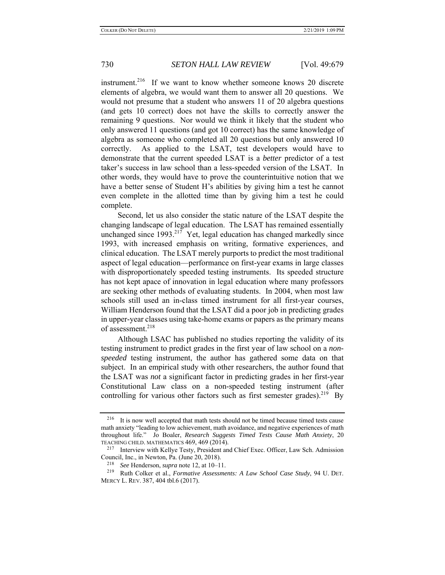instrument.<sup>216</sup> If we want to know whether someone knows 20 discrete elements of algebra, we would want them to answer all 20 questions. We would not presume that a student who answers 11 of 20 algebra questions (and gets 10 correct) does not have the skills to correctly answer the remaining 9 questions. Nor would we think it likely that the student who only answered 11 questions (and got 10 correct) has the same knowledge of algebra as someone who completed all 20 questions but only answered 10 correctly. As applied to the LSAT, test developers would have to demonstrate that the current speeded LSAT is a *better* predictor of a test taker's success in law school than a less-speeded version of the LSAT. In other words, they would have to prove the counterintuitive notion that we have a better sense of Student H's abilities by giving him a test he cannot even complete in the allotted time than by giving him a test he could complete.

Second, let us also consider the static nature of the LSAT despite the changing landscape of legal education. The LSAT has remained essentially unchanged since  $1993$ <sup>217</sup> Yet, legal education has changed markedly since 1993, with increased emphasis on writing, formative experiences, and clinical education. The LSAT merely purports to predict the most traditional aspect of legal education—performance on first-year exams in large classes with disproportionately speeded testing instruments. Its speeded structure has not kept apace of innovation in legal education where many professors are seeking other methods of evaluating students. In 2004, when most law schools still used an in-class timed instrument for all first-year courses, William Henderson found that the LSAT did a poor job in predicting grades in upper-year classes using take-home exams or papers as the primary means of assessment.<sup>218</sup>

Although LSAC has published no studies reporting the validity of its testing instrument to predict grades in the first year of law school on a *nonspeeded* testing instrument, the author has gathered some data on that subject. In an empirical study with other researchers, the author found that the LSAT was *not* a significant factor in predicting grades in her first-year Constitutional Law class on a non-speeded testing instrument (after controlling for various other factors such as first semester grades).<sup>219</sup> By

<sup>216</sup> It is now well accepted that math tests should not be timed because timed tests cause math anxiety "leading to low achievement, math avoidance, and negative experiences of math throughout life." Jo Boaler, *Research Suggests Timed Tests Cause Math Anxiety*, 20 TEACHING CHILD. MATHEMATICS 469, 469 (2014).

<sup>&</sup>lt;sup>217</sup> Interview with Kellye Testy, President and Chief Exec. Officer, Law Sch. Admission Council, Inc., in Newton, Pa. (June 20, 2018).

<sup>218</sup> *See* Henderson, *supra* note 12, at 10–11.

<sup>219</sup> Ruth Colker et al., *Formative Assessments: A Law School Case Study*, 94 U. DET. MERCY L. REV. 387, 404 tbl.6 (2017).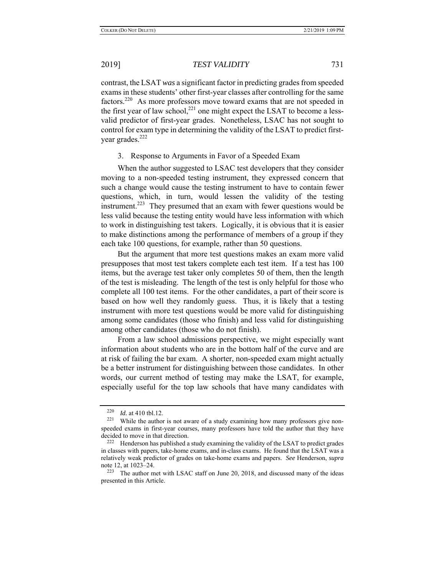contrast, the LSAT *was* a significant factor in predicting grades from speeded exams in these students' other first-year classes after controlling for the same factors.220 As more professors move toward exams that are not speeded in the first year of law school, $^{221}$  one might expect the LSAT to become a lessvalid predictor of first-year grades. Nonetheless, LSAC has not sought to control for exam type in determining the validity of the LSAT to predict firstyear grades.<sup>222</sup>

## 3. Response to Arguments in Favor of a Speeded Exam

When the author suggested to LSAC test developers that they consider moving to a non-speeded testing instrument, they expressed concern that such a change would cause the testing instrument to have to contain fewer questions, which, in turn, would lessen the validity of the testing instrument.<sup>223</sup> They presumed that an exam with fewer questions would be less valid because the testing entity would have less information with which to work in distinguishing test takers. Logically, it is obvious that it is easier to make distinctions among the performance of members of a group if they each take 100 questions, for example, rather than 50 questions.

But the argument that more test questions makes an exam more valid presupposes that most test takers complete each test item. If a test has 100 items, but the average test taker only completes 50 of them, then the length of the test is misleading. The length of the test is only helpful for those who complete all 100 test items. For the other candidates, a part of their score is based on how well they randomly guess. Thus, it is likely that a testing instrument with more test questions would be more valid for distinguishing among some candidates (those who finish) and less valid for distinguishing among other candidates (those who do not finish).

From a law school admissions perspective, we might especially want information about students who are in the bottom half of the curve and are at risk of failing the bar exam. A shorter, non-speeded exam might actually be a better instrument for distinguishing between those candidates. In other words, our current method of testing may make the LSAT, for example, especially useful for the top law schools that have many candidates with

<sup>&</sup>lt;sup>220</sup>*Id.* at 410 tbl.12.<br><sup>221</sup> While the author is not aware of a study examining how many professors give nonspeeded exams in first-year courses, many professors have told the author that they have decided to move in that direction.<br><sup>222</sup> Henderson has published a study examining the validity of the LSAT to predict grades

in classes with papers, take-home exams, and in-class exams. He found that the LSAT was a relatively weak predictor of grades on take-home exams and papers. *See* Henderson, *supra*  note 12, at 1023–24.

 $223$  The author met with LSAC staff on June 20, 2018, and discussed many of the ideas presented in this Article.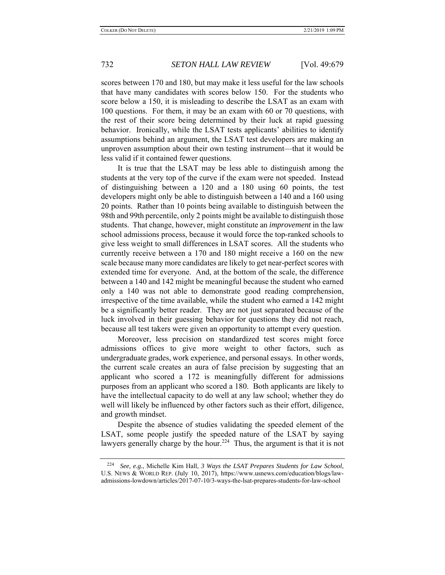scores between 170 and 180, but may make it less useful for the law schools that have many candidates with scores below 150. For the students who score below a 150, it is misleading to describe the LSAT as an exam with 100 questions. For them, it may be an exam with 60 or 70 questions, with the rest of their score being determined by their luck at rapid guessing behavior. Ironically, while the LSAT tests applicants' abilities to identify assumptions behind an argument, the LSAT test developers are making an unproven assumption about their own testing instrument—that it would be less valid if it contained fewer questions.

It is true that the LSAT may be less able to distinguish among the students at the very top of the curve if the exam were not speeded. Instead of distinguishing between a 120 and a 180 using 60 points, the test developers might only be able to distinguish between a 140 and a 160 using 20 points. Rather than 10 points being available to distinguish between the 98th and 99th percentile, only 2 points might be available to distinguish those students. That change, however, might constitute an *improvement* in the law school admissions process, because it would force the top-ranked schools to give less weight to small differences in LSAT scores. All the students who currently receive between a 170 and 180 might receive a 160 on the new scale because many more candidates are likely to get near-perfect scores with extended time for everyone. And, at the bottom of the scale, the difference between a 140 and 142 might be meaningful because the student who earned only a 140 was not able to demonstrate good reading comprehension, irrespective of the time available, while the student who earned a 142 might be a significantly better reader. They are not just separated because of the luck involved in their guessing behavior for questions they did not reach, because all test takers were given an opportunity to attempt every question.

Moreover, less precision on standardized test scores might force admissions offices to give more weight to other factors, such as undergraduate grades, work experience, and personal essays. In other words, the current scale creates an aura of false precision by suggesting that an applicant who scored a 172 is meaningfully different for admissions purposes from an applicant who scored a 180. Both applicants are likely to have the intellectual capacity to do well at any law school; whether they do well will likely be influenced by other factors such as their effort, diligence, and growth mindset.

Despite the absence of studies validating the speeded element of the LSAT, some people justify the speeded nature of the LSAT by saying lawyers generally charge by the hour.<sup>224</sup> Thus, the argument is that it is not

<sup>224</sup> *See, e.g.*, Michelle Kim Hall, *3 Ways the LSAT Prepares Students for Law School*, U.S. NEWS & WORLD REP. (July 10, 2017), https://www.usnews.com/education/blogs/lawadmissions-lowdown/articles/2017-07-10/3-ways-the-lsat-prepares-students-for-law-school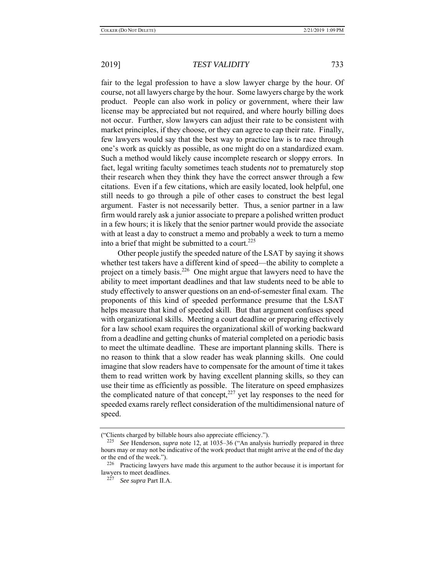fair to the legal profession to have a slow lawyer charge by the hour. Of course, not all lawyers charge by the hour. Some lawyers charge by the work product. People can also work in policy or government, where their law license may be appreciated but not required, and where hourly billing does not occur. Further, slow lawyers can adjust their rate to be consistent with market principles, if they choose, or they can agree to cap their rate. Finally, few lawyers would say that the best way to practice law is to race through one's work as quickly as possible, as one might do on a standardized exam. Such a method would likely cause incomplete research or sloppy errors. In fact, legal writing faculty sometimes teach students *not* to prematurely stop their research when they think they have the correct answer through a few citations. Even if a few citations, which are easily located, look helpful, one still needs to go through a pile of other cases to construct the best legal argument. Faster is not necessarily better. Thus, a senior partner in a law firm would rarely ask a junior associate to prepare a polished written product in a few hours; it is likely that the senior partner would provide the associate with at least a day to construct a memo and probably a week to turn a memo into a brief that might be submitted to a court.<sup>225</sup>

Other people justify the speeded nature of the LSAT by saying it shows whether test takers have a different kind of speed—the ability to complete a project on a timely basis.<sup>226</sup> One might argue that lawyers need to have the ability to meet important deadlines and that law students need to be able to study effectively to answer questions on an end-of-semester final exam. The proponents of this kind of speeded performance presume that the LSAT helps measure that kind of speeded skill. But that argument confuses speed with organizational skills. Meeting a court deadline or preparing effectively for a law school exam requires the organizational skill of working backward from a deadline and getting chunks of material completed on a periodic basis to meet the ultimate deadline. These are important planning skills. There is no reason to think that a slow reader has weak planning skills. One could imagine that slow readers have to compensate for the amount of time it takes them to read written work by having excellent planning skills, so they can use their time as efficiently as possible. The literature on speed emphasizes the complicated nature of that concept, $227$  yet lay responses to the need for speeded exams rarely reflect consideration of the multidimensional nature of speed.

<sup>(&</sup>quot;Clients charged by billable hours also appreciate efficiency.").

<sup>225</sup> *See* Henderson, *supra* note 12, at 1035–36 ("An analysis hurriedly prepared in three hours may or may not be indicative of the work product that might arrive at the end of the day or the end of the week.").<br> $\frac{226}{P}$  Procticing lawyers

Practicing lawyers have made this argument to the author because it is important for lawyers to meet deadlines.

<sup>227</sup> *See supra* Part II.A.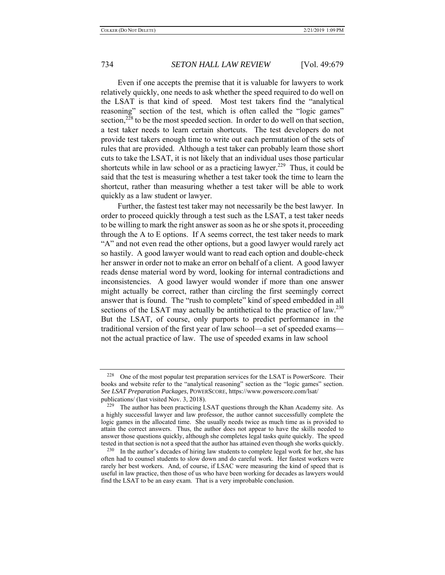Even if one accepts the premise that it is valuable for lawyers to work relatively quickly, one needs to ask whether the speed required to do well on the LSAT is that kind of speed. Most test takers find the "analytical reasoning" section of the test, which is often called the "logic games" section,<sup>228</sup> to be the most speeded section. In order to do well on that section, a test taker needs to learn certain shortcuts. The test developers do not provide test takers enough time to write out each permutation of the sets of rules that are provided. Although a test taker can probably learn those short cuts to take the LSAT, it is not likely that an individual uses those particular shortcuts while in law school or as a practicing lawyer.<sup>229</sup> Thus, it could be said that the test is measuring whether a test taker took the time to learn the shortcut, rather than measuring whether a test taker will be able to work quickly as a law student or lawyer.

Further, the fastest test taker may not necessarily be the best lawyer. In order to proceed quickly through a test such as the LSAT, a test taker needs to be willing to mark the right answer as soon as he or she spots it, proceeding through the A to E options. If A seems correct, the test taker needs to mark "A" and not even read the other options, but a good lawyer would rarely act so hastily. A good lawyer would want to read each option and double-check her answer in order not to make an error on behalf of a client. A good lawyer reads dense material word by word, looking for internal contradictions and inconsistencies. A good lawyer would wonder if more than one answer might actually be correct, rather than circling the first seemingly correct answer that is found. The "rush to complete" kind of speed embedded in all sections of the LSAT may actually be antithetical to the practice of  $law^{230}$ . But the LSAT, of course, only purports to predict performance in the traditional version of the first year of law school—a set of speeded exams not the actual practice of law. The use of speeded exams in law school

 $228$  One of the most popular test preparation services for the LSAT is PowerScore. Their books and website refer to the "analytical reasoning" section as the "logic games" section. *See LSAT Preparation Packages*, POWERSCORE, https://www.powerscore.com/lsat/ publications/ (last visited Nov. 3, 2018).

 $229$  The author has been practicing LSAT questions through the Khan Academy site. As a highly successful lawyer and law professor, the author cannot successfully complete the logic games in the allocated time. She usually needs twice as much time as is provided to attain the correct answers. Thus, the author does not appear to have the skills needed to answer those questions quickly, although she completes legal tasks quite quickly. The speed tested in that section is not a speed that the author has attained even though she works quickly.

<sup>&</sup>lt;sup>230</sup> In the author's decades of hiring law students to complete legal work for her, she has often had to counsel students to slow down and do careful work. Her fastest workers were rarely her best workers. And, of course, if LSAC were measuring the kind of speed that is useful in law practice, then those of us who have been working for decades as lawyers would find the LSAT to be an easy exam. That is a very improbable conclusion.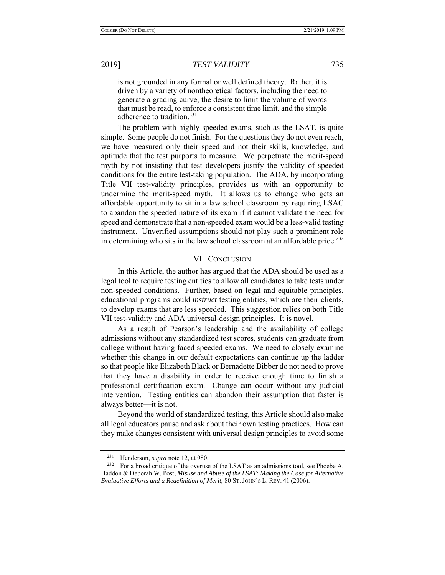is not grounded in any formal or well defined theory. Rather, it is driven by a variety of nontheoretical factors, including the need to generate a grading curve, the desire to limit the volume of words that must be read, to enforce a consistent time limit, and the simple adherence to tradition.<sup>231</sup>

The problem with highly speeded exams, such as the LSAT, is quite simple. Some people do not finish. For the questions they do not even reach, we have measured only their speed and not their skills, knowledge, and aptitude that the test purports to measure. We perpetuate the merit-speed myth by not insisting that test developers justify the validity of speeded conditions for the entire test-taking population. The ADA, by incorporating Title VII test-validity principles, provides us with an opportunity to undermine the merit-speed myth. It allows us to change who gets an affordable opportunity to sit in a law school classroom by requiring LSAC to abandon the speeded nature of its exam if it cannot validate the need for speed and demonstrate that a non-speeded exam would be a less-valid testing instrument. Unverified assumptions should not play such a prominent role in determining who sits in the law school classroom at an affordable price.<sup>232</sup>

## VI. CONCLUSION

In this Article, the author has argued that the ADA should be used as a legal tool to require testing entities to allow all candidates to take tests under non-speeded conditions. Further, based on legal and equitable principles, educational programs could *instruct* testing entities, which are their clients, to develop exams that are less speeded. This suggestion relies on both Title VII test-validity and ADA universal-design principles. It is novel.

As a result of Pearson's leadership and the availability of college admissions without any standardized test scores, students can graduate from college without having faced speeded exams. We need to closely examine whether this change in our default expectations can continue up the ladder so that people like Elizabeth Black or Bernadette Bibber do not need to prove that they have a disability in order to receive enough time to finish a professional certification exam. Change can occur without any judicial intervention. Testing entities can abandon their assumption that faster is always better—it is not.

Beyond the world of standardized testing, this Article should also make all legal educators pause and ask about their own testing practices. How can they make changes consistent with universal design principles to avoid some

<sup>&</sup>lt;sup>231</sup> Henderson, *supra* note 12, at 980.

For a broad critique of the overuse of the LSAT as an admissions tool, see Phoebe A. Haddon & Deborah W. Post, *Misuse and Abuse of the LSAT: Making the Case for Alternative Evaluative Efforts and a Redefinition of Merit*, 80 ST. JOHN'S L. REV. 41 (2006).